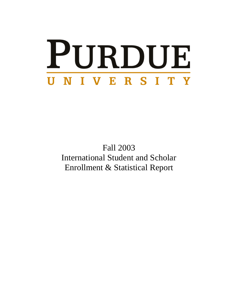# PURDUE UNIVERSITY

Fall 2003 International Student and Scholar Enrollment & Statistical Report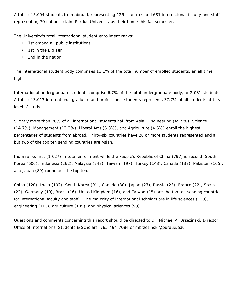A total of 5,094 students from abroad, representing 126 countries and 681 international faculty and staff representing 70 nations, claim Purdue University as their home this fall semester.

The University's total international student enrollment ranks:

- 1st among all public institutions
- 1st in the Big Ten
- 2nd in the nation

The international student body comprises 13.1% of the total number of enrolled students, an all time high.

International undergraduate students comprise 6.7% of the total undergraduate body, or 2,081 students. A total of 3,013 international graduate and professional students represents 37.7% of all students at this level of study.

Slightly more than 70% of all international students hail from Asia. Engineering (45.5%), Science (14.7%), Management (13.3%), Liberal Arts (6.8%), and Agriculture (4.6%) enroll the highest percentages of students from abroad. Thirty-six countries have 20 or more students represented and all but two of the top ten sending countries are Asian.

India ranks first (1,027) in total enrollment while the People's Republic of China (797) is second. South Korea (600), Indonesia (262), Malaysia (243), Taiwan (197), Turkey (143), Canada (137), Pakistan (105), and Japan (89) round out the top ten.

China (120), India (102), South Korea (91), Canada (30), Japan (27), Russia (23), France (22), Spain (22), Germany (19), Brazil (16), United Kingdom (16), and Taiwan (15) are the top ten sending countries for international faculty and staff. The majority of international scholars are in life sciences (138), engineering (113), agriculture (105), and physical sciences (93).

Questions and comments concerning this report should be directed to Dr. Michael A. Brzezinski, Director, Office of International Students & Scholars, 765-494-7084 or mbrzezinski@purdue.edu.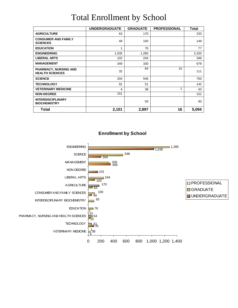|                                                        | <b>UNDERGRADUATE</b> | <b>GRADUATE</b> | <b>PROFESSIONAL</b> | <b>Total</b> |
|--------------------------------------------------------|----------------------|-----------------|---------------------|--------------|
| <b>AGRICULTURE</b>                                     | 63                   | 170             |                     | 233          |
| <b>CONSUMER AND FAMILY</b><br><b>SCIENCES</b>          | 49                   | 100             |                     | 149          |
| <b>EDUCATION</b>                                       | 1                    | 76              |                     | 77           |
| <b>ENGINEERING</b>                                     | 1,035                | 1,285           |                     | 2,320        |
| <b>LIBERAL ARTS</b>                                    | 102                  | 244             |                     | 346          |
| <b>MANAGEMENT</b>                                      | 349                  | 330             |                     | 679          |
| <b>PHARMACY, NURSING AND</b><br><b>HEALTH SCIENCES</b> | 32                   | 64              | 15                  | 111          |
| <b>SCIENCE</b>                                         | 204                  | 546             |                     | 750          |
| <b>TECHNOLOGY</b>                                      | 91                   | 51              |                     | 142          |
| <b>VETERINARY MEDICINE</b>                             | 4                    | 38              |                     | 43           |
| <b>NON-DEGREE</b>                                      | 151                  |                 |                     | 151          |
| <b>INTERDISCIPLINARY</b><br><b>BIOCHEMISTRY</b>        |                      | 93              |                     | 93           |
| Total                                                  | 2,101                | 2,897           | 16                  | 5,094        |

#### Total Enrollment by School



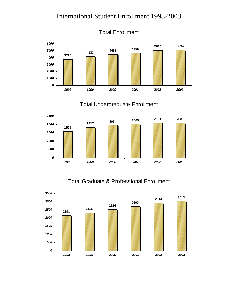

Total Undergraduate Enrollment



#### Total Graduate & Professional Enrollment



Total Enrollment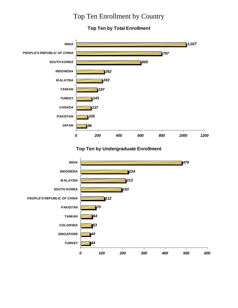#### Top Ten Enrollment by Country

#### **Top Ten by Total Enrollment**



#### **Top Ten by Undergraduate Enrollment**

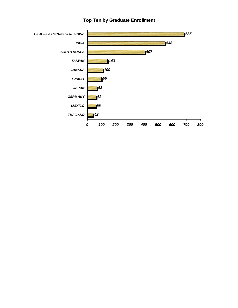

#### **Top Ten by Graduate Enrollment**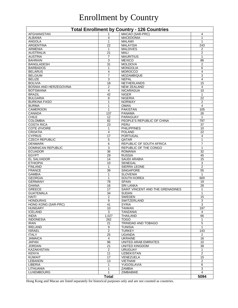## Enrollment by Country

| <b>Total Enrollment by Country - 126 Countries</b> |                   |                                               |                                |  |  |
|----------------------------------------------------|-------------------|-----------------------------------------------|--------------------------------|--|--|
| AFGHANISTAN                                        |                   | MACAO (SAR-PRC)                               | 4                              |  |  |
| <b>ALBANIA</b>                                     | $\overline{4}$    | <b>MACEDONIA</b>                              | 1                              |  |  |
| <b>ANGOLA</b>                                      | $\mathbf{1}$      | <b>MALAWI</b>                                 | 1                              |  |  |
| <b>ARGENTINA</b>                                   | 22                | <b>MALAYSIA</b>                               | 243                            |  |  |
| <b>ARMENIA</b>                                     | $\mathbf{1}$      | <b>MALDIVES</b>                               | $\overline{2}$                 |  |  |
| <b>AUSTRALIA</b>                                   | 21                | <b>MALI</b>                                   | $\overline{2}$                 |  |  |
| <b>AUSTRIA</b>                                     | $\overline{7}$    | <b>MAURITIUS</b>                              | $\mathbf{1}$                   |  |  |
| <b>BAHRAIN</b>                                     | 3                 | <b>MEXICO</b>                                 | 86                             |  |  |
| <b>BANGLADESH</b>                                  | 31                | <b>MOLDOVA</b>                                | $\overline{2}$                 |  |  |
| <b>BARBADOS</b>                                    | $\mathbf{1}$      | <b>MONGOLIA</b>                               | 6                              |  |  |
| <b>BELARUS</b>                                     | $\overline{4}$    | <b>MOROCCO</b>                                | 4                              |  |  |
| <b>BELGIUM</b>                                     | 7                 | <b>MOZAMBIQUE</b>                             | 3                              |  |  |
| <b>BELIZE</b>                                      | 3                 | <b>NEPAL</b>                                  | 4                              |  |  |
| <b>BOLIVIA</b>                                     | 18                | <b>NETHERLANDS</b>                            | 15                             |  |  |
| BOSNIA AND HERZEGOVINA                             | $\overline{2}$    | <b>NEW ZEALAND</b>                            | 4                              |  |  |
| <b>BOTSWANA</b>                                    | 4                 | <b>NICARAGUA</b>                              | 10                             |  |  |
| <b>BRAZIL</b>                                      | 42                | <b>NIGER</b>                                  | 1                              |  |  |
| <b>BULGARIA</b>                                    | 8                 | <b>NIGERIA</b>                                | 22                             |  |  |
| <b>BURKINA FASO</b><br><b>BURMA</b>                | 1<br>$\mathbf{1}$ | <b>NORWAY</b><br><b>OMAN</b>                  | 2<br>$\overline{4}$            |  |  |
| <b>CAMEROON</b>                                    | $\mathbf{1}$      | <b>PAKISTAN</b>                               | 105                            |  |  |
| <b>CANADA</b>                                      | 137               | <b>PANAMA</b>                                 | 26                             |  |  |
| <b>CHILE</b>                                       | 12                | PARAGUAY                                      | $\mathbf{1}$                   |  |  |
| <b>COLOMBIA</b>                                    | 82                | PEOPLE'S REPUBLIC OF CHINA                    | 797                            |  |  |
| <b>COSTA RICA</b>                                  | 23                | PERU                                          | 37                             |  |  |
| <b>COTE d'IVOIRE</b>                               | 1                 | <b>PHILIPPINES</b>                            | 10                             |  |  |
| <b>CROATIA</b>                                     | 4                 | <b>POLAND</b>                                 | 22                             |  |  |
| <b>CYPRUS</b>                                      | 17                | <b>PORTUGAL</b>                               | 4                              |  |  |
| <b>CZECH REPUBLIC</b>                              | 5                 | QATAR                                         | 1                              |  |  |
| <b>DENMARK</b>                                     | 6                 | REPUBLIC OF SOUTH AFRICA                      | $\overline{7}$                 |  |  |
| <b>DOMINICAN REPUBLIC</b>                          | 3                 | <b>REPUBLIC OF THE CONGO</b>                  | $\mathbf{1}$                   |  |  |
| <b>ECUADOR</b>                                     | 36                | <b>ROMANIA</b>                                | $\overline{32}$                |  |  |
| <b>EGYPT</b>                                       | 29                | <b>RUSSIA</b>                                 | 45                             |  |  |
| <b>EL SALVADOR</b>                                 | 14                | <b>SAUDI ARABIA</b>                           | 15                             |  |  |
| <b>ETHIOPIA</b>                                    | 10                | <b>SENEGAL</b>                                | 3                              |  |  |
| <b>FINLAND</b>                                     | 1                 | SIERRA LEONE                                  | $\overline{2}$                 |  |  |
| <b>FRANCE</b>                                      | 39                | <b>SINGAPORE</b>                              | $\overline{55}$                |  |  |
| <b>GAMBIA</b>                                      | $\mathbf{1}$      | <b>SLOVENIA</b>                               | $\mathbf{1}$                   |  |  |
| <b>GEORGIA</b>                                     | $\mathbf{1}$      | <b>SOUTH KOREA</b>                            | 600                            |  |  |
| <b>GERMANY</b>                                     | 78                | <b>SPAIN</b>                                  | 19                             |  |  |
| <b>GHANA</b>                                       | 16                | <b>SRI LANKA</b>                              | 28                             |  |  |
| <b>GREECE</b>                                      | $\overline{17}$   | SAINT VINCENT AND THE GRENADINES              | $\mathbf{1}$                   |  |  |
| <b>GUATEMALA</b>                                   | 34                | <b>SUDAN</b>                                  | $\mathbf{1}$                   |  |  |
| HAITI                                              | $\overline{2}$    | <b>SWEDEN</b>                                 | 15                             |  |  |
| <b>HONDURAS</b>                                    | 9                 | SWITZERLAND                                   | $\overline{3}$                 |  |  |
| HONG KONG (SAR-PRC)                                | 41                | <b>SYRIA</b>                                  | 3                              |  |  |
| <b>HUNGARY</b>                                     | 10                | <b>TAIWAN</b>                                 | 197                            |  |  |
| <b>ICELAND</b>                                     | 3                 | <b>TANZANIA</b>                               | 4                              |  |  |
| <b>INDIA</b>                                       | 1,027             | <b>THAILAND</b>                               | 66                             |  |  |
| <b>INDONESIA</b>                                   | 262               | <b>TOGO</b>                                   | $\mathbf{1}$                   |  |  |
| <b>IRAN</b>                                        | 21                | TRINIDAD AND TOBAGO                           | 5                              |  |  |
| <b>IRELAND</b>                                     | 9                 | <b>TUNISIA</b>                                | $\mathbf{1}$                   |  |  |
| <b>ISRAEL</b>                                      | $\overline{2}$    | <b>TURKEY</b>                                 | 143                            |  |  |
| <b>ITALY</b>                                       | 25                | <b>UGANDA</b>                                 | $\overline{2}$                 |  |  |
| <b>JAMAICA</b>                                     | 4                 | <b>UKRAINE</b>                                | 16                             |  |  |
| <b>JAPAN</b><br><b>JORDAN</b>                      | 96<br>21          | UNITED ARAB EMIRATES<br><b>UNITED KINGDOM</b> | 10<br>38                       |  |  |
| <b>KAZAKHSTAN</b>                                  | $\overline{2}$    | <b>URUGUAY</b>                                |                                |  |  |
| <b>KENYA</b>                                       | 11                | <b>UZBEKISTAN</b>                             | $\mathbf{1}$<br>$\overline{2}$ |  |  |
| <b>KUWAIT</b>                                      | 17                | VENEZUELA                                     | 15                             |  |  |
| <b>LEBANON</b>                                     | 13                | VIETNAM                                       | $\overline{2}$                 |  |  |
| LIBERIA                                            | 1                 | YUGOSLAVIA                                    | 6                              |  |  |
| LITHUANIA                                          | 1                 | <b>ZAMBIA</b>                                 | $\overline{3}$                 |  |  |
| <b>LUXEMBOURG</b>                                  | 1                 | <b>ZIMBABWE</b>                               | $\overline{4}$                 |  |  |
|                                                    | <b>Total</b>      |                                               | 5094                           |  |  |
|                                                    |                   |                                               |                                |  |  |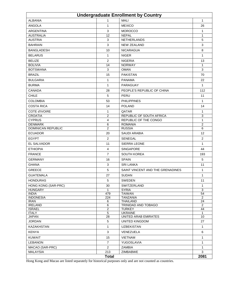| <b>Undergraduate Enrollment by Country</b> |                |                                  |                   |  |  |
|--------------------------------------------|----------------|----------------------------------|-------------------|--|--|
| <b>ALBANIA</b>                             | 1              | <b>MALI</b>                      | $\mathbf{1}$      |  |  |
| <b>ANGOLA</b>                              | 1              | <b>MEXICO</b>                    | 26                |  |  |
| <b>ARGENTINA</b>                           | 3              | <b>MOROCCO</b>                   | $\mathbf{1}$      |  |  |
| <b>AUSTRALIA</b>                           | 12             | <b>NEPAL</b>                     | $\mathbf{1}$      |  |  |
| <b>AUSTRIA</b>                             | 3              | <b>NETHERLANDS</b>               | 5                 |  |  |
| <b>BAHRAIN</b>                             | 3              | <b>NEW ZEALAND</b>               | 3                 |  |  |
| <b>BANGLADESH</b>                          | 10             | <b>NICARAGUA</b>                 | 8                 |  |  |
| <b>BELARUS</b>                             | 1              | <b>NIGER</b>                     | $\mathbf{1}$      |  |  |
| <b>BELIZE</b>                              | 2              | <b>NIGERIA</b>                   | 13                |  |  |
| <b>BOLIVIA</b>                             | 14             | <b>NORWAY</b>                    | $\mathbf{1}$      |  |  |
| <b>BOTSWANA</b>                            | 3              | <b>OMAN</b>                      | 3                 |  |  |
| <b>BRAZIL</b>                              | 15             | <b>PAKISTAN</b>                  | 70                |  |  |
| <b>BULGARIA</b>                            | 1              | <b>PANAMA</b>                    | 22                |  |  |
| <b>BURMA</b>                               | 1              | PARAGUAY                         | $\mathbf{1}$      |  |  |
| <b>CANADA</b>                              | 28             | PEOPLE'S REPUBLIC OF CHINA       | 112               |  |  |
| <b>CHILE</b>                               | 5              | PERU                             | 11                |  |  |
| <b>COLOMBIA</b>                            | 53             | <b>PHILIPPINES</b>               | 1                 |  |  |
| <b>COSTA RICA</b>                          | 14             | <b>POLAND</b>                    | 14                |  |  |
| COTE d'IVOIRE                              | 1              | QATAR                            | $\mathbf{1}$      |  |  |
| <b>CROATIA</b>                             | $\overline{2}$ | REPUBLIC OF SOUTH AFRICA         | 3                 |  |  |
| <b>CYPRUS</b>                              | 4              | REPUBLIC OF THE CONGO            | 1                 |  |  |
| <b>DENMARK</b>                             | 6              | <b>ROMANIA</b>                   | 2                 |  |  |
| DOMINICAN REPUBLIC                         | 2              | <b>RUSSIA</b>                    | 6                 |  |  |
| <b>ECUADOR</b>                             | 20             | SAUDI ARABIA                     | $12 \overline{ }$ |  |  |
| <b>EGYPT</b>                               | 2              | <b>SENEGAL</b>                   | 2                 |  |  |
| EL SALVADOR                                | 11             | <b>SIERRA LEONE</b>              | $\mathbf{1}$      |  |  |
| <b>ETHIOPIA</b>                            | 4              | <b>SINGAPORE</b>                 | 44                |  |  |
| <b>FRANCE</b>                              | $\overline{7}$ | <b>SOUTH KOREA</b>               | 193               |  |  |
| <b>GERMANY</b>                             | 16             | <b>SPAIN</b>                     | 5                 |  |  |
| <b>GHANA</b>                               | 3              | <b>SRI LANKA</b>                 | 11                |  |  |
| <b>GREECE</b>                              | 5              | SAINT VINCENT AND THE GRENADINES | $\mathbf{1}$      |  |  |
| <b>GUATEMALA</b>                           | 27             | <b>SUDAN</b>                     | $\mathbf{1}$      |  |  |
| <b>HONDURAS</b>                            | 5              | <b>SWEDEN</b>                    | 11                |  |  |
| HONG KONG (SAR-PRC)                        | 30             | SWITZERLAND                      | 1                 |  |  |
| <b>HUNGARY</b>                             | $\mathbf{1}$   | <b>SYRIA</b>                     | 3                 |  |  |
| <b>INDIA</b>                               | 479            | <b>TAIWAN</b>                    | 54                |  |  |
| <b>INDONESIA</b>                           | 224            | <b>TANZANIA</b>                  | 2                 |  |  |
| <b>IRAN</b><br><b>IRELAND</b>              | 6<br>6         | THAILAND<br>TRINIDAD AND TOBAGO  | 24<br>2           |  |  |
| <b>ISRAEL</b>                              | $\overline{2}$ | <b>TURKEY</b>                    | 44                |  |  |
| <b>ITALY</b>                               | $\,$ 5 $\,$    | <b>UKRAINE</b>                   | 1                 |  |  |
| JAPAN                                      | 28             | <b>UNITED ARAB EMIRATES</b>      | 10                |  |  |
| <b>JORDAN</b>                              | 5              | UNITED KINGDOM                   | 27                |  |  |
| KAZAKHSTAN                                 | 1              | <b>UZBEKISTAN</b>                | $\mathbf{1}$      |  |  |
| <b>KENYA</b>                               | 3              | VENEZUELA                        | 6                 |  |  |
| <b>KUWAIT</b>                              | 15             | <b>VIETNAM</b>                   | $\mathbf{1}$      |  |  |
| <b>LEBANON</b>                             | $\overline{7}$ | YUGOSLAVIA                       | $\mathbf{1}$      |  |  |
| MACAO (SAR-PRC)                            | $\overline{2}$ | ZAMBIA                           | $\mathbf{1}$      |  |  |
| <b>MALAYSIA</b>                            | 213            | ZIMBABWE                         | 3                 |  |  |
| <b>Total</b>                               |                |                                  |                   |  |  |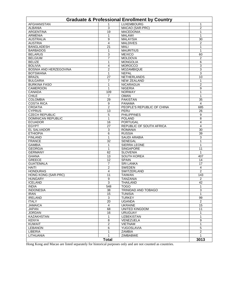| <b>Graduate &amp; Professional Enrollment by Country</b> |                      |                                    |                |  |  |
|----------------------------------------------------------|----------------------|------------------------------------|----------------|--|--|
| <b>AFGHANISTAN</b>                                       | 1                    | <b>LUXEMBOURG</b>                  | 1              |  |  |
| <b>ALBANIA</b>                                           | 3                    | MACAO (SAR-PRC)                    | $\overline{2}$ |  |  |
| <b>ARGENTINA</b>                                         | 19                   | <b>MACEDONIA</b>                   | 1              |  |  |
| <b>ARMENIA</b>                                           | 1                    | <b>MALAWI</b>                      | 1              |  |  |
| <b>AUSTRALIA</b>                                         | 9                    | <b>MALAYSIA</b>                    | 30             |  |  |
| <b>AUSTRIA</b>                                           | 4                    | <b>MALDIVES</b>                    | $\overline{2}$ |  |  |
| <b>BANGLADESH</b>                                        | 21                   | <b>MALI</b>                        | 1              |  |  |
| <b>BARBADOS</b>                                          | 1                    | <b>MAURITIUS</b>                   | 1              |  |  |
| <b>BELARUS</b>                                           | 3                    | <b>MEXICO</b>                      | 60             |  |  |
| <b>BELGIUM</b>                                           | $\overline{7}$       | <b>MOLDOVA</b>                     | $\overline{2}$ |  |  |
| <b>BELIZE</b>                                            | 1                    | <b>MONGOLIA</b>                    | 6              |  |  |
| <b>BOLIVIA</b>                                           | 4                    | <b>MOROCCO</b>                     | 3              |  |  |
| BOSNIA AND HERZEGOVINA                                   | $\overline{2}$       | <b>MOZAMBIQUE</b>                  | 3              |  |  |
| <b>BOTSWANA</b>                                          | 1                    | <b>NEPAL</b>                       | 3              |  |  |
| <b>BRAZIL</b>                                            | 27                   | <b>NETHERLANDS</b>                 | 10             |  |  |
| <b>BULGARIA</b>                                          | 7                    | <b>NEW ZEALAND</b>                 | 1              |  |  |
| <b>BURKINA FASO</b>                                      | 1                    | <b>NICARAGUA</b>                   | $\overline{2}$ |  |  |
| <b>CAMEROON</b>                                          | 1                    | <b>NIGERIA</b>                     | 9              |  |  |
| <b>CANADA</b>                                            | 109                  | <b>NORWAY</b>                      | 1              |  |  |
| <b>CHILE</b>                                             | 7                    | <b>OMAN</b>                        | 1              |  |  |
| <b>COLOMBIA</b><br><b>COSTA RICA</b>                     | 29                   | <b>PAKISTAN</b><br><b>PANAMA</b>   | 35             |  |  |
| <b>CROATIA</b>                                           | 9                    |                                    | 4              |  |  |
| <b>CYPRUS</b>                                            | 2<br>13              | PEOPLE'S REPUBLIC OF CHINA<br>PERU | 685<br>26      |  |  |
| <b>CZECH REPUBLIC</b>                                    | 5                    | <b>PHILIPPINES</b>                 | 9              |  |  |
| <b>DOMINICAN REPUBLIC</b>                                | $\mathbf{1}$         | <b>POLAND</b>                      | 8              |  |  |
| <b>ECUADOR</b>                                           | 16                   | <b>PORTUGAL</b>                    | 4              |  |  |
| <b>EGYPT</b>                                             | $\overline{27}$      | REPUBLIC OF SOUTH AFRICA           | $\overline{4}$ |  |  |
| <b>EL SALVADOR</b>                                       | 3                    | <b>ROMANIA</b>                     | 30             |  |  |
| <b>ETHIOPIA</b>                                          | 6                    | <b>RUSSIA</b>                      | 39             |  |  |
| <b>FINLAND</b>                                           | 1                    | <b>SAUDI ARABIA</b>                | 3              |  |  |
| <b>FRANCE</b>                                            | 32                   | <b>SENEGAL</b>                     | 1              |  |  |
| <b>GAMBIA</b>                                            | 1                    | <b>SIERRA LEONE</b>                | 1              |  |  |
| <b>GEORGIA</b>                                           | 1                    | <b>SINGAPORE</b>                   | 11             |  |  |
| <b>GERMANY</b>                                           | 62                   | <b>SLOVENIA</b>                    | 1              |  |  |
| <b>GHANA</b>                                             | 13                   | <b>SOUTH KOREA</b>                 | 407            |  |  |
| <b>GREECE</b>                                            | 12                   | <b>SPAIN</b>                       | 14             |  |  |
| <b>GUATEMALA</b>                                         | 7                    | <b>SRI LANKA</b>                   | 17             |  |  |
| <b>HAITI</b>                                             | $\overline{2}$       | <b>SWEDEN</b>                      | 4              |  |  |
| <b>HONDURAS</b>                                          | 4                    | SWITZERLAND                        | $\overline{2}$ |  |  |
| HONG KONG (SAR-PRC)                                      | 11                   | <b>TAIWAN</b>                      | 143            |  |  |
| <b>HUNGARY</b>                                           | 9                    | <b>TANZANIA</b>                    | $\overline{2}$ |  |  |
| <b>ICELAND</b>                                           | 3                    | <b>THAILAND</b>                    | 42             |  |  |
| <b>INDIA</b>                                             | 548                  | <b>TOGO</b>                        | 1              |  |  |
| <b>INDONESIA</b>                                         | 38                   | <b>TRINIDAD AND TOBAGO</b>         | 3              |  |  |
| <b>IRAN</b>                                              | 15                   | <b>TUNISIA</b>                     | 1              |  |  |
| <b>IRELAND</b>                                           | 3                    | <b>TURKEY</b>                      | 99             |  |  |
| <b>ITALY</b>                                             | 20                   | <b>UGANDA</b>                      | $\mathbf{2}$   |  |  |
| <b>JAMAICA</b>                                           | $\overline{4}$       | <b>UKRAINE</b>                     | 15             |  |  |
| <b>JAPAN</b>                                             | 68                   | <b>UNITED KINGDOM</b>              | 11             |  |  |
| <b>JORDAN</b>                                            | 16                   | <b>URUGUAY</b>                     | 1              |  |  |
| <b>KAZAKHSTAN</b>                                        | 1                    | <b>UZBEKISTAN</b>                  | 1              |  |  |
| <b>KENYA</b>                                             | 8                    | VENEZUELA                          | 9              |  |  |
| <b>KUWAIT</b>                                            | $\overline{2}$       | <b>VIETNAM</b>                     | $\mathbf{1}$   |  |  |
| <b>LEBANON</b>                                           | 6                    | YUGOSLAVIA                         | 5              |  |  |
| LIBERIA                                                  | 1                    | ZAMBIA                             | $\mathbf{2}$   |  |  |
| LITHUANIA                                                | 1                    | <b>ZIMBABWE</b>                    | $\mathbf{1}$   |  |  |
|                                                          | 3013<br><b>Total</b> |                                    |                |  |  |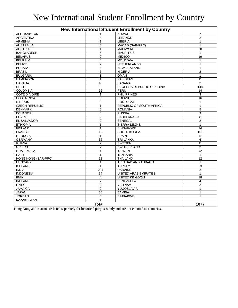## New International Student Enrollment by Country

| <b>New International Student Enrollment by Country</b> |                  |                                 |                 |  |
|--------------------------------------------------------|------------------|---------------------------------|-----------------|--|
| <b>AFGHANISTAN</b>                                     |                  | <b>KUWAIT</b>                   | $\overline{7}$  |  |
| <b>ARGENTINA</b>                                       | 4                | <b>LEBANON</b>                  | $\overline{2}$  |  |
| <b>ARMENIA</b>                                         | $\mathbf{1}$     | <b>LIBERIA</b>                  | $\mathbf{1}$    |  |
| <b>AUSTRALIA</b>                                       | 6                | MACAO (SAR-PRC)                 | $\mathbf{1}$    |  |
| <b>AUSTRIA</b>                                         | $\mathbf{1}$     | <b>MALAYSIA</b>                 | 28              |  |
| <b>BANGLADESH</b>                                      | 5                | <b>MAURITIUS</b>                | $\mathbf{1}$    |  |
| <b>BELARUS</b>                                         | $\overline{2}$   | <b>MEXICO</b>                   | $\overline{19}$ |  |
| <b>BELGIUM</b>                                         | 4                | <b>MOLDOVA</b>                  | $\mathbf{1}$    |  |
| <b>BELIZE</b>                                          | $\overline{2}$   | <b>NETHERLANDS</b>              | $\mathbf{1}$    |  |
| <b>BOLIVIA</b>                                         | 6                | <b>NEW ZEALAND</b>              | $\mathbf{1}$    |  |
| <b>BRAZIL</b>                                          | $\overline{5}$   | <b>NIGERIA</b>                  | $\overline{2}$  |  |
| <b>BULGARIA</b>                                        | 3                | <b>OMAN</b>                     | $\mathbf{1}$    |  |
| <b>CAMEROON</b>                                        | $\overline{1}$   | <b>PAKISTAN</b>                 | 11              |  |
| <b>CANADA</b>                                          | 40               | <b>PANAMA</b>                   | $\overline{2}$  |  |
| <b>CHILE</b>                                           | 3                | PEOPLE'S REPUBLIC OF CHINA      | 144             |  |
| <b>COLOMBIA</b>                                        | 15               | PERU                            | $\overline{14}$ |  |
| <b>COTE D'IVOIRE</b>                                   | $\mathbf{1}$     | <b>PHILIPPINES</b>              | 3               |  |
| <b>COSTA RICA</b>                                      | 8                | <b>POLAND</b>                   | 16              |  |
| <b>CYPRUS</b>                                          | 3                | <b>PORTUGAL</b>                 | $\mathbf{1}$    |  |
| <b>CZECH REPUBLIC</b>                                  | $\mathbf{1}$     | <b>REPUBLIC OF SOUTH AFRICA</b> | $\mathbf{1}$    |  |
| <b>DENMARK</b>                                         | 6                | <b>ROMANIA</b>                  | $\overline{5}$  |  |
| <b>ECUADOR</b>                                         | 8                | <b>RUSSIA</b>                   | 9               |  |
| <b>EGYPT</b>                                           | $\overline{2}$   | <b>SAUDI ARABIA</b>             | 8               |  |
| <b>EL SALVADOR</b>                                     | $\overline{2}$   | <b>SENEGAL</b>                  | $\overline{2}$  |  |
| <b>ETHIOPIA</b>                                        | $\mathbf{1}$     | <b>SIERRA LEONE</b>             | $\mathbf{1}$    |  |
| <b>FINLAND</b>                                         | $\mathbf{1}$     | <b>SINGAPORE</b>                | 14              |  |
| <b>FRANCE</b>                                          | 12               | <b>SOUTH KOREA</b>              | 151             |  |
| <b>GEORGIA</b>                                         | $\mathbf{1}$     | <b>SPAIN</b>                    | 5               |  |
| <b>GERMANY</b>                                         | $\overline{32}$  | <b>SRI LANKA</b>                | 6               |  |
| <b>GHANA</b>                                           | $\overline{2}$   | <b>SWEDEN</b>                   | 11              |  |
| <b>GREECE</b>                                          | $\overline{7}$   | <b>SWITZERLAND</b>              | $\overline{2}$  |  |
| <b>GUATEMALA</b>                                       | $\overline{4}$   | <b>TAIWAN</b>                   | 42              |  |
| <b>HAITI</b>                                           | $\mathbf{1}$     | <b>TANZANIA</b>                 | $\mathbf{1}$    |  |
| <b>HONG KONG (SAR-PRC)</b>                             | 12               | <b>THAILAND</b>                 | 12              |  |
| <b>HUNGARY</b>                                         | $\mathbf{1}$     | TRINIDAD AND TOBAGO             | $\mathbf{1}$    |  |
| <b>ICELAND</b>                                         | $\mathbf{1}$     | <b>TURKEY</b>                   | 23              |  |
| <b>INDIA</b>                                           | $\overline{201}$ | <b>UKRAINE</b>                  | $\overline{2}$  |  |
| <b>INDONESIA</b>                                       | 34               | <b>UNITED ARAB EMIRATES</b>     | $\mathbf{1}$    |  |
| <b>IRAN</b>                                            | 4                | <b>UNITED KINGDOM</b>           | $\overline{18}$ |  |
| <b>IRELAND</b>                                         | $\overline{7}$   | VENEZUELA                       | $\overline{4}$  |  |
| <b>ITALY</b>                                           | $\overline{2}$   | <b>VIETNAM</b>                  | $\overline{2}$  |  |
| <b>JAMAICA</b>                                         | $\overline{2}$   | YUGOSLAVIA                      | $\mathbf{1}$    |  |
| <b>JAPAN</b>                                           | $\overline{36}$  | <b>ZAMBIA</b>                   | $\mathbf{1}$    |  |
| <b>JORDAN</b>                                          | 5                | <b>ZIMBABWE</b>                 | 1               |  |
| <b>KAZAKHSTAN</b>                                      | $\mathbf{1}$     |                                 |                 |  |
|                                                        | <b>Total</b>     |                                 | 1077            |  |
|                                                        |                  |                                 |                 |  |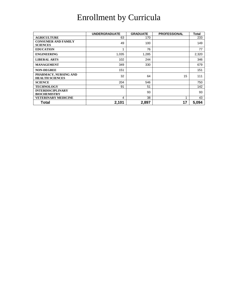## Enrollment by Curricula

|                                                 | <b>UNDERGRADUATE</b> | <b>GRADUATE</b> | <b>PROFESSIONAL</b> | Total |
|-------------------------------------------------|----------------------|-----------------|---------------------|-------|
| <b>AGRICULTURE</b>                              | 63                   | 170             |                     | 233   |
| <b>CONSUMER AND FAMILY</b><br><b>SCIENCES</b>   | 49                   | 100             |                     | 149   |
| <b>EDUCATION</b>                                |                      | 76              |                     | 77    |
| <b>ENGINEERING</b>                              | 1,035                | 1,285           |                     | 2,320 |
| <b>LIBERAL ARTS</b>                             | 102                  | 244             |                     | 346   |
| <b>MANAGEMENT</b>                               | 349                  | 330             |                     | 679   |
| <b>NON-DEGREE</b>                               | 151                  |                 |                     | 151   |
| PHARMACY, NURSING AND<br><b>HEALTH SCIENCES</b> | 32                   | 64              | 15                  | 111   |
| <b>SCIENCE</b>                                  | 204                  | 546             |                     | 750   |
| <b>TECHNOLOGY</b>                               | 91                   | 51              |                     | 142   |
| <b>INTERDISCIPLINARY</b><br><b>BIOCHEMISTRY</b> |                      | 93              |                     | 93    |
| <b>VETERINARY MEDICINE</b>                      | 4                    | 38              | 4                   | 43    |
| Total                                           | 2,101                | 2,897           | 17                  | 5,094 |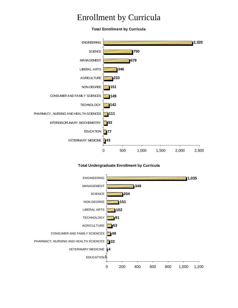#### Enrollment by Curricula

**Total Enrollment by Curricula**



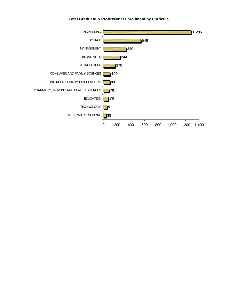**Total Graduate & Professional Enrollment by Curricula**

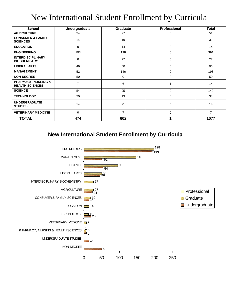#### New International Student Enrollment by Curricula

| <b>School</b>                                            | Undergraduate  | <b>Graduate</b> | Professional | <b>Total</b>   |
|----------------------------------------------------------|----------------|-----------------|--------------|----------------|
| <b>AGRICULTURE</b>                                       | 24             | 27              | 0            | 51             |
| <b>CONSUMER &amp; FAMILY</b><br><b>SCIENCES</b>          | 14             | 19              | $\mathbf 0$  | 33             |
| <b>EDUCATION</b>                                         | 0              | 14              | 0            | 14             |
| <b>ENGINEERING</b>                                       | 193            | 198             | 0            | 391            |
| <b>INTERDISCIPLINARY</b><br><b>BIOCHEMISTRY</b>          | 0              | 27              | 0            | 27             |
| <b>LIBERAL ARTS</b>                                      | 46             | 50              | 0            | 96             |
| <b>MANAGEMENT</b>                                        | 52             | 146             | 0            | 198            |
| <b>NON-DEGREE</b>                                        | 50             | 0               | 0            | 50             |
| <b>PHARMACY, NURSING &amp;</b><br><b>HEALTH SCIENCES</b> | $\overline{7}$ | 6               |              | 14             |
| <b>SCIENCE</b>                                           | 54             | 95              | 0            | 149            |
| <b>TECHNOLOGY</b>                                        | 20             | 13              | $\mathbf 0$  | 33             |
| <b>UNDERGRADUATE</b><br><b>STUDIES</b>                   | 14             | 0               | 0            | 14             |
| <b>VETERINARY MEDICINE</b>                               | 0              | $\overline{7}$  | 0            | $\overline{7}$ |
| <b>TOTAL</b>                                             | 474            | 602             |              | 1077           |

**New International Student Enrollment by Curricula**

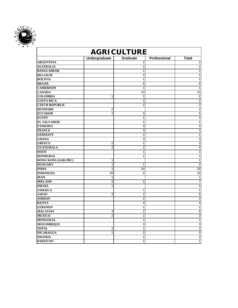

|                            | <b>AGRICULTURE</b>      |                 |              |                 |  |
|----------------------------|-------------------------|-----------------|--------------|-----------------|--|
|                            | <b>Undergraduate</b>    | <b>Graduate</b> | Professional | <b>Total</b>    |  |
| <b>ARGENTINA</b>           |                         | 2               |              | 2               |  |
| <b>AUSTRALIA</b>           |                         | 2               |              | $\overline{2}$  |  |
| <b>BANGLADESH</b>          |                         | $\mathbf{1}$    |              | 1               |  |
| <b>BELGIUM</b>             |                         | 5               |              | 5               |  |
| <b>BOLIVIA</b>             |                         | 1               |              | 1               |  |
| <b>BRAZIL</b>              |                         | 6               |              | 6               |  |
| <b>CAMEROON</b>            |                         | $\overline{1}$  |              | 1               |  |
| <b>CANADA</b>              |                         | 14              |              | 14              |  |
| <b>COLOMBIA</b>            | 1                       | 1               |              | $\overline{2}$  |  |
| <b>COSTA RICA</b>          |                         | $\overline{2}$  |              | $\overline{2}$  |  |
| <b>CZECH REPUBLIC</b>      |                         | $\overline{2}$  |              | $\overline{2}$  |  |
| <b>DENMARK</b>             | $\overline{2}$          |                 |              | $\overline{2}$  |  |
| <b>ECUADOR</b>             | 1                       | 4               |              | 5               |  |
| <b>EGYPT</b>               |                         | $\mathbf{1}$    |              | 1               |  |
| <b>EL SALVADOR</b>         |                         | 1               |              | 1               |  |
| <b>ETHIOPIA</b>            |                         | 3               |              | 3               |  |
| <b>FRANCE</b>              |                         | 3               |              | 3               |  |
| <b>GERMANY</b>             |                         | $\mathbf{1}$    |              | 1               |  |
| <b>GHANA</b>               |                         | 3               |              | 3               |  |
| <b>GREECE</b>              | $\overline{\mathbf{c}}$ | 1               |              | 3               |  |
| <b>GUATEMALA</b>           | $\overline{2}$          | $\overline{2}$  |              | 4               |  |
| <b>HAITI</b>               |                         | $\mathbf{1}$    |              | 1               |  |
| <b>HONDURAS</b>            |                         | 1               |              | 1               |  |
| <b>HONG KONG (SAR-PRC)</b> | 1                       |                 |              | 1               |  |
| <b>HUNGARY</b>             | 1                       | 1               |              | $\overline{2}$  |  |
| <b>INDIA</b>               | 1                       | 24              |              | $\overline{25}$ |  |
| <b>INDONESIA</b>           | 20                      | $\overline{2}$  |              | 22              |  |
| <b>IRAN</b>                | 1                       |                 |              | 1               |  |
| <b>IRELAND</b>             | 5                       | 2               |              | 7               |  |
| <b>ISRAEL</b>              | 1                       |                 |              | 1               |  |
| <b>JAMAICA</b>             |                         | 1               |              | 1               |  |
| <b>JAPAN</b>               | 3                       | $\overline{2}$  |              | 5               |  |
| <b>JORDAN</b>              |                         | $\overline{2}$  |              | $\overline{2}$  |  |
| <b>KENYA</b>               |                         | 4               |              | 4               |  |
| <b>LEBANON</b>             |                         | 1               |              | 1               |  |
| <b>MALAYSIA</b>            | 4                       | $\overline{2}$  |              | 6               |  |
| <b>MEXICO</b>              | $\overline{2}$          | 1               |              | 3               |  |
| <b>MONGOLIA</b>            |                         | $\mathbf{1}$    |              | 1               |  |
| <b>MOZAMBIQUE</b>          |                         | 3               |              | 3               |  |
| <b>NEPAL</b>               | 1                       | 1               |              | $\overline{2}$  |  |
| <b>NICARAGUA</b>           | $\overline{1}$          | $\overline{2}$  |              | $\overline{3}$  |  |
| <b>NIGERIA</b>             |                         | 2               |              | $\overline{2}$  |  |
| <b>PAKISTAN</b>            |                         | 1               |              | 1               |  |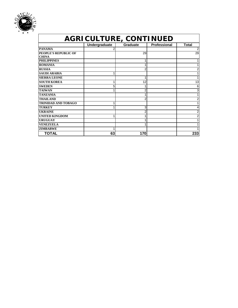

| <b>AGRICULTURE, CONTINUED</b> |               |                 |                     |                |  |
|-------------------------------|---------------|-----------------|---------------------|----------------|--|
|                               | Undergraduate | <b>Graduate</b> | <b>Professional</b> | <b>Total</b>   |  |
| <b>PANAMA</b>                 |               |                 |                     | $\overline{2}$ |  |
| <b>PEOPLE'S REPUBLIC OF</b>   |               | 29              |                     | 29             |  |
| <b>CHINA</b>                  |               |                 |                     |                |  |
| <b>PHILIPPINES</b>            |               |                 |                     | 1              |  |
| <b>ROMANIA</b>                |               |                 |                     | 1              |  |
| <b>RUSSIA</b>                 |               |                 |                     | $\overline{2}$ |  |
| <b>SAUDI ARABIA</b>           |               |                 |                     | 1              |  |
| <b>SIERRA LEONE</b>           |               |                 |                     | 1              |  |
| <b>SOUTH KOREA</b>            |               | 12              |                     | 13             |  |
| <b>SWEDEN</b>                 | 5             |                 |                     | 6              |  |
| <b>TAIWAN</b>                 |               |                 |                     | 3              |  |
| <b>TANZANIA</b>               |               |                 |                     | 1              |  |
| <b>THAILAND</b>               |               |                 |                     | $\overline{2}$ |  |
| <b>TRINIDAD AND TOBAGO</b>    |               |                 |                     | 1              |  |
| <b>TURKEY</b>                 |               | 3               |                     | 4              |  |
| <b>UKRAINE</b>                |               |                 |                     | 2              |  |
| <b>UNITED KINGDOM</b>         |               |                 |                     | 2              |  |
| <b>URUGUAY</b>                |               |                 |                     | 1              |  |
| <b>VENEZUELA</b>              |               |                 |                     | 1              |  |
| <b>ZIMBABWE</b>               |               |                 |                     |                |  |
| TOTAL                         | 63            | 170             |                     | 233            |  |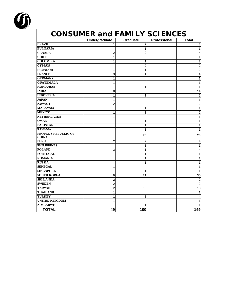

|                             | <b>CONSUMER and FAMILY SCIENCES</b><br>Undergraduate | Graduate       | Professional | <b>Total</b>   |
|-----------------------------|------------------------------------------------------|----------------|--------------|----------------|
| <b>BRAZIL</b>               | 1                                                    | $\overline{2}$ |              | 3              |
| <b>BULGARIA</b>             |                                                      | 1              |              | 1              |
| <b>CANADA</b>               | 2                                                    | 2              |              |                |
| <b>CHILE</b>                | 1                                                    |                |              | 1              |
| <b>COLOMBIA</b>             | 1                                                    | 1              |              | 2              |
| <b>CYPRUS</b>               |                                                      | 2              |              | $\overline{2}$ |
| <b>ECUADOR</b>              | 1                                                    | 1              |              | $\overline{2}$ |
| <b>FRANCE</b>               | 3                                                    | 1              |              | 4              |
| <b>GERMANY</b>              | 1                                                    |                |              |                |
| <b>GUATEMALA</b>            | 1                                                    |                |              |                |
| <b>HONDURAS</b>             |                                                      | 1              |              |                |
| <b>INDIA</b>                | 8                                                    | 6              |              | 14             |
| <b>INDONESIA</b>            | 1                                                    | 1              |              | $\overline{2}$ |
| <b>JAPAN</b>                | 1                                                    |                |              | 1              |
| <b>KUWAIT</b>               | $\overline{2}$                                       |                |              | 2              |
| <b>MALAYSIA</b>             |                                                      | 1              |              | 1              |
| <b>MEXICO</b>               | 1                                                    | 1              |              | 2              |
| <b>NETHERLANDS</b>          | 1                                                    |                |              | 1              |
| <b>OMAN</b>                 |                                                      | 1              |              | 1              |
| <b>PAKISTAN</b>             |                                                      | 1              |              | 1              |
| <b>PANAMA</b>               |                                                      | 1              |              | 1              |
| PEOPLE'S REPUBLIC OF        |                                                      | 28             |              | 28             |
| <b>CHINA</b><br><b>PERU</b> |                                                      |                |              |                |
| <b>PHILIPPINES</b>          | $\overline{2}$                                       | $\overline{2}$ |              | 4              |
| <b>POLAND</b>               |                                                      | 1              |              | 1              |
| <b>PORTUGAL</b>             | 3                                                    | 1<br>1         |              | 4              |
| <b>ROMANIA</b>              |                                                      | 1              |              | 1              |
| <b>RUSSIA</b>               |                                                      | 1              |              | 1              |
| <b>SENEGAL</b>              | 1                                                    |                |              | 1              |
| <b>SINGAPORE</b>            |                                                      | 1              |              | 1              |
| <b>SOUTH KOREA</b>          | 9                                                    | 21             |              | 30             |
| <b>SRI LANKA</b>            | 2                                                    |                |              | 2              |
| <b>SWEDEN</b>               | $\overline{c}$                                       |                |              | $\overline{2}$ |
| <b>TAIWAN</b>               | $\overline{c}$                                       | 16             |              | 18             |
| <b>THAILAND</b>             | 1                                                    |                |              | 1              |
| <b>TURKEY</b>               | $\mathbf{1}$                                         | 3              |              |                |
| <b>UNITED KINGDOM</b>       | 1                                                    |                |              |                |
| <b>ZIMBABWE</b>             |                                                      | 1              |              |                |
| <b>TOTAL</b>                | 49                                                   | 100            |              | 149            |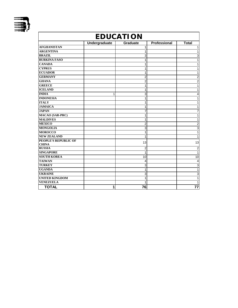

| <b>EDUCATION</b>                     |               |                 |                     |                |  |
|--------------------------------------|---------------|-----------------|---------------------|----------------|--|
|                                      | Undergraduate | <b>Graduate</b> | <b>Professional</b> | <b>Total</b>   |  |
| <b>AFGHANISTAN</b>                   |               | 1               |                     | 1              |  |
| <b>ARGENTINA</b>                     |               | 1               |                     | 1              |  |
| <b>BRAZIL</b>                        |               | 3               |                     | 3              |  |
| <b>BURKINA FASO</b>                  |               | 1               |                     | 1              |  |
| <b>CANADA</b>                        |               | 1               |                     | 1              |  |
| <b>CYPRUS</b>                        |               | 1               |                     | 1              |  |
| <b>ECUADOR</b>                       |               | 1               |                     |                |  |
| <b>GERMANY</b>                       |               | $\overline{2}$  |                     | $\overline{2}$ |  |
| <b>GHANA</b>                         |               | $\overline{2}$  |                     | $\overline{2}$ |  |
| <b>GREECE</b>                        |               | 1               |                     | 1              |  |
| <b>ICELAND</b>                       |               | 1               |                     | 1              |  |
| <b>INDIA</b>                         | 1             | 3               |                     | 4              |  |
| <b>INDONESIA</b>                     |               | 1               |                     | 1              |  |
| <b>ITALY</b>                         |               | 1               |                     |                |  |
| <b>JAMAICA</b>                       |               | 1               |                     | 1              |  |
| <b>JAPAN</b>                         |               | 7               |                     | 7              |  |
| <b>MACAO</b> (SAR-PRC)               |               | 1               |                     | 1              |  |
| <b>MALDIVES</b>                      |               | 1               |                     | 1              |  |
| <b>MEXICO</b>                        |               | $\overline{c}$  |                     | $\overline{2}$ |  |
| <b>MONGOLIA</b>                      |               | 3               |                     | 3              |  |
| <b>MOROCCO</b>                       |               | 1               |                     | 1              |  |
| <b>NEW ZEALAND</b>                   |               | 1               |                     | 1              |  |
| PEOPLE'S REPUBLIC OF<br><b>CHINA</b> |               | 13              |                     | 13             |  |
| <b>RUSSIA</b>                        |               | 2               |                     | 2              |  |
| <b>SINGAPORE</b>                     |               | 1               |                     | 1              |  |
| <b>SOUTH KOREA</b>                   |               | 10              |                     | 10             |  |
| <b>TAIWAN</b>                        |               | 4               |                     | $\overline{4}$ |  |
| <b>TURKEY</b>                        |               | 3               |                     | 3              |  |
| <b>UGANDA</b>                        |               | 1               |                     | $\mathbf{1}$   |  |
| <b>UKRAINE</b>                       |               | 3               |                     | 3              |  |
| <b>UNITED KINGDOM</b>                |               | 1               |                     | 1              |  |
| <b>VENEZUELA</b>                     |               | 1               |                     | 1              |  |
| <b>TOTAL</b>                         | 1             | 76              |                     | 77             |  |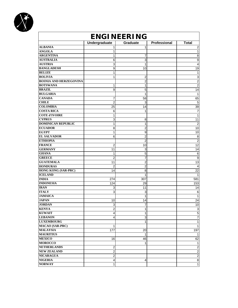

| <b>Graduate</b><br>Total<br><b>ALBANIA</b><br>1<br>1<br><b>ANGOLA</b><br>1<br><b>ARGENTINA</b><br>1<br>7<br><b>AUSTRALIA</b><br>3<br>6<br><b>AUSTRIA</b><br>3<br>1<br><b>BANGLADESH</b><br>9<br>10<br><b>BELIZE</b><br>1<br><b>BOLIVIA</b><br>1<br>2<br><b>BOSNIA AND HERZEGOVINA</b><br>2<br><b>BOTSWANA</b><br>1<br>1<br><b>BRAZIL</b><br>9<br>5<br><b>BULGARIA</b><br>1<br><b>CANADA</b><br>58<br>7<br><b>CHILE</b><br>$\overline{2}$<br>3<br><b>COLOMBIA</b><br>25<br>14<br><b>COSTA RICA</b><br>6<br>1<br><b>COTE d'IVOIRE</b><br>1<br><b>CYPRUS</b><br>11<br>3<br>8<br><b>DOMINICAN REPUBLIC</b><br>$\overline{\mathbf{c}}$<br>1<br>1<br><b>ECUADOR</b><br>10<br>8<br>2<br><b>EGYPT</b><br>10<br>1<br>9<br><b>EL SALVADOR</b><br>$\overline{\mathbf{c}}$<br>$\overline{8}$<br>6<br><b>ETHIOPIA</b><br>$\overline{2}$<br><b>FRANCE</b><br>$\overline{12}$<br>2<br>10<br><b>GERMANY</b><br>11<br>3<br>14<br><b>GHANA</b><br>1<br>5<br>$\,6$<br><b>GREECE</b><br>2<br>7<br>9<br>$\overline{13}$<br><b>GUATEMALA</b><br>11<br>2<br><b>HONDURAS</b><br>$\overline{2}$<br>$\overline{2}$<br>$\overline{4}$<br><b>HONG KONG (SAR-PRC)</b><br>22<br>14<br>8<br><b>ICELAND</b><br>1<br>1<br><b>INDIA</b><br>581<br>274<br>307<br><b>INDONESIA</b><br>153<br>124<br>29<br><b>IRAN</b><br>3<br>11<br>14<br><b>ITALY</b><br>3<br>3<br>6<br><b>JAMAICA</b><br>$\mathbf{1}$<br>1<br><b>JAPAN</b><br>24<br>10<br>14<br><b>JORDAN</b><br>3<br>10<br>7<br><b>KENYA</b><br>2<br>$\ensuremath{\mathsf{3}}$<br>1<br>5<br><b>KUWAIT</b><br>4<br>1<br>$\overline{7}$<br><b>LEBANON</b><br>3<br>$\overline{4}$<br>$\overline{1}$<br><b>LUXEMBOURG</b><br>1<br><b>MACAO (SAR-PRC)</b><br>$\mathbf{1}$<br>1<br><b>MALAYSIA</b><br>197<br>177<br>20<br><b>MAURITIUS</b><br>$\mathbf{1}$<br>1<br><b>MEXICO</b><br>62<br>16<br>46<br><b>MOROCCO</b><br>1<br>$\mathbf{1}$<br>$\overline{2}$<br><b>NETHERLANDS</b><br>$\overline{c}$<br>$\overline{a}$<br><b>NEW ZEALAND</b><br>$\overline{a}$<br>$\overline{2}$<br><b>NICARAGUA</b><br>$\overline{c}$<br>$\infty$<br>$\overline{4}$<br><b>NIGERIA</b><br>4<br><b>NORWAY</b><br>1 | <b>ENGINEERING</b> |                      |  |              |                 |  |
|-----------------------------------------------------------------------------------------------------------------------------------------------------------------------------------------------------------------------------------------------------------------------------------------------------------------------------------------------------------------------------------------------------------------------------------------------------------------------------------------------------------------------------------------------------------------------------------------------------------------------------------------------------------------------------------------------------------------------------------------------------------------------------------------------------------------------------------------------------------------------------------------------------------------------------------------------------------------------------------------------------------------------------------------------------------------------------------------------------------------------------------------------------------------------------------------------------------------------------------------------------------------------------------------------------------------------------------------------------------------------------------------------------------------------------------------------------------------------------------------------------------------------------------------------------------------------------------------------------------------------------------------------------------------------------------------------------------------------------------------------------------------------------------------------------------------------------------------------------------------------------------------------------------------------------------------------------------------------------------------------------------------------------------------------------------------------------------------------------------|--------------------|----------------------|--|--------------|-----------------|--|
|                                                                                                                                                                                                                                                                                                                                                                                                                                                                                                                                                                                                                                                                                                                                                                                                                                                                                                                                                                                                                                                                                                                                                                                                                                                                                                                                                                                                                                                                                                                                                                                                                                                                                                                                                                                                                                                                                                                                                                                                                                                                                                           |                    | <b>Undergraduate</b> |  | Professional |                 |  |
|                                                                                                                                                                                                                                                                                                                                                                                                                                                                                                                                                                                                                                                                                                                                                                                                                                                                                                                                                                                                                                                                                                                                                                                                                                                                                                                                                                                                                                                                                                                                                                                                                                                                                                                                                                                                                                                                                                                                                                                                                                                                                                           |                    |                      |  |              | 2               |  |
|                                                                                                                                                                                                                                                                                                                                                                                                                                                                                                                                                                                                                                                                                                                                                                                                                                                                                                                                                                                                                                                                                                                                                                                                                                                                                                                                                                                                                                                                                                                                                                                                                                                                                                                                                                                                                                                                                                                                                                                                                                                                                                           |                    |                      |  |              | $\mathbf{1}$    |  |
|                                                                                                                                                                                                                                                                                                                                                                                                                                                                                                                                                                                                                                                                                                                                                                                                                                                                                                                                                                                                                                                                                                                                                                                                                                                                                                                                                                                                                                                                                                                                                                                                                                                                                                                                                                                                                                                                                                                                                                                                                                                                                                           |                    |                      |  |              | 8               |  |
|                                                                                                                                                                                                                                                                                                                                                                                                                                                                                                                                                                                                                                                                                                                                                                                                                                                                                                                                                                                                                                                                                                                                                                                                                                                                                                                                                                                                                                                                                                                                                                                                                                                                                                                                                                                                                                                                                                                                                                                                                                                                                                           |                    |                      |  |              | 9               |  |
|                                                                                                                                                                                                                                                                                                                                                                                                                                                                                                                                                                                                                                                                                                                                                                                                                                                                                                                                                                                                                                                                                                                                                                                                                                                                                                                                                                                                                                                                                                                                                                                                                                                                                                                                                                                                                                                                                                                                                                                                                                                                                                           |                    |                      |  |              | 4               |  |
|                                                                                                                                                                                                                                                                                                                                                                                                                                                                                                                                                                                                                                                                                                                                                                                                                                                                                                                                                                                                                                                                                                                                                                                                                                                                                                                                                                                                                                                                                                                                                                                                                                                                                                                                                                                                                                                                                                                                                                                                                                                                                                           |                    |                      |  |              | 19              |  |
|                                                                                                                                                                                                                                                                                                                                                                                                                                                                                                                                                                                                                                                                                                                                                                                                                                                                                                                                                                                                                                                                                                                                                                                                                                                                                                                                                                                                                                                                                                                                                                                                                                                                                                                                                                                                                                                                                                                                                                                                                                                                                                           |                    |                      |  |              | 1               |  |
|                                                                                                                                                                                                                                                                                                                                                                                                                                                                                                                                                                                                                                                                                                                                                                                                                                                                                                                                                                                                                                                                                                                                                                                                                                                                                                                                                                                                                                                                                                                                                                                                                                                                                                                                                                                                                                                                                                                                                                                                                                                                                                           |                    |                      |  |              | $\overline{a}$  |  |
|                                                                                                                                                                                                                                                                                                                                                                                                                                                                                                                                                                                                                                                                                                                                                                                                                                                                                                                                                                                                                                                                                                                                                                                                                                                                                                                                                                                                                                                                                                                                                                                                                                                                                                                                                                                                                                                                                                                                                                                                                                                                                                           |                    |                      |  |              | $\overline{2}$  |  |
|                                                                                                                                                                                                                                                                                                                                                                                                                                                                                                                                                                                                                                                                                                                                                                                                                                                                                                                                                                                                                                                                                                                                                                                                                                                                                                                                                                                                                                                                                                                                                                                                                                                                                                                                                                                                                                                                                                                                                                                                                                                                                                           |                    |                      |  |              | $\sqrt{2}$      |  |
|                                                                                                                                                                                                                                                                                                                                                                                                                                                                                                                                                                                                                                                                                                                                                                                                                                                                                                                                                                                                                                                                                                                                                                                                                                                                                                                                                                                                                                                                                                                                                                                                                                                                                                                                                                                                                                                                                                                                                                                                                                                                                                           |                    |                      |  |              | $\overline{14}$ |  |
|                                                                                                                                                                                                                                                                                                                                                                                                                                                                                                                                                                                                                                                                                                                                                                                                                                                                                                                                                                                                                                                                                                                                                                                                                                                                                                                                                                                                                                                                                                                                                                                                                                                                                                                                                                                                                                                                                                                                                                                                                                                                                                           |                    |                      |  |              | $\mathbf{1}$    |  |
|                                                                                                                                                                                                                                                                                                                                                                                                                                                                                                                                                                                                                                                                                                                                                                                                                                                                                                                                                                                                                                                                                                                                                                                                                                                                                                                                                                                                                                                                                                                                                                                                                                                                                                                                                                                                                                                                                                                                                                                                                                                                                                           |                    |                      |  |              | 65              |  |
|                                                                                                                                                                                                                                                                                                                                                                                                                                                                                                                                                                                                                                                                                                                                                                                                                                                                                                                                                                                                                                                                                                                                                                                                                                                                                                                                                                                                                                                                                                                                                                                                                                                                                                                                                                                                                                                                                                                                                                                                                                                                                                           |                    |                      |  |              | $\mathbf 5$     |  |
|                                                                                                                                                                                                                                                                                                                                                                                                                                                                                                                                                                                                                                                                                                                                                                                                                                                                                                                                                                                                                                                                                                                                                                                                                                                                                                                                                                                                                                                                                                                                                                                                                                                                                                                                                                                                                                                                                                                                                                                                                                                                                                           |                    |                      |  |              | 39              |  |
|                                                                                                                                                                                                                                                                                                                                                                                                                                                                                                                                                                                                                                                                                                                                                                                                                                                                                                                                                                                                                                                                                                                                                                                                                                                                                                                                                                                                                                                                                                                                                                                                                                                                                                                                                                                                                                                                                                                                                                                                                                                                                                           |                    |                      |  |              | $\overline{7}$  |  |
|                                                                                                                                                                                                                                                                                                                                                                                                                                                                                                                                                                                                                                                                                                                                                                                                                                                                                                                                                                                                                                                                                                                                                                                                                                                                                                                                                                                                                                                                                                                                                                                                                                                                                                                                                                                                                                                                                                                                                                                                                                                                                                           |                    |                      |  |              | $\mathbf{1}$    |  |
|                                                                                                                                                                                                                                                                                                                                                                                                                                                                                                                                                                                                                                                                                                                                                                                                                                                                                                                                                                                                                                                                                                                                                                                                                                                                                                                                                                                                                                                                                                                                                                                                                                                                                                                                                                                                                                                                                                                                                                                                                                                                                                           |                    |                      |  |              |                 |  |
|                                                                                                                                                                                                                                                                                                                                                                                                                                                                                                                                                                                                                                                                                                                                                                                                                                                                                                                                                                                                                                                                                                                                                                                                                                                                                                                                                                                                                                                                                                                                                                                                                                                                                                                                                                                                                                                                                                                                                                                                                                                                                                           |                    |                      |  |              |                 |  |
|                                                                                                                                                                                                                                                                                                                                                                                                                                                                                                                                                                                                                                                                                                                                                                                                                                                                                                                                                                                                                                                                                                                                                                                                                                                                                                                                                                                                                                                                                                                                                                                                                                                                                                                                                                                                                                                                                                                                                                                                                                                                                                           |                    |                      |  |              |                 |  |
|                                                                                                                                                                                                                                                                                                                                                                                                                                                                                                                                                                                                                                                                                                                                                                                                                                                                                                                                                                                                                                                                                                                                                                                                                                                                                                                                                                                                                                                                                                                                                                                                                                                                                                                                                                                                                                                                                                                                                                                                                                                                                                           |                    |                      |  |              |                 |  |
|                                                                                                                                                                                                                                                                                                                                                                                                                                                                                                                                                                                                                                                                                                                                                                                                                                                                                                                                                                                                                                                                                                                                                                                                                                                                                                                                                                                                                                                                                                                                                                                                                                                                                                                                                                                                                                                                                                                                                                                                                                                                                                           |                    |                      |  |              |                 |  |
|                                                                                                                                                                                                                                                                                                                                                                                                                                                                                                                                                                                                                                                                                                                                                                                                                                                                                                                                                                                                                                                                                                                                                                                                                                                                                                                                                                                                                                                                                                                                                                                                                                                                                                                                                                                                                                                                                                                                                                                                                                                                                                           |                    |                      |  |              | $\overline{2}$  |  |
|                                                                                                                                                                                                                                                                                                                                                                                                                                                                                                                                                                                                                                                                                                                                                                                                                                                                                                                                                                                                                                                                                                                                                                                                                                                                                                                                                                                                                                                                                                                                                                                                                                                                                                                                                                                                                                                                                                                                                                                                                                                                                                           |                    |                      |  |              |                 |  |
|                                                                                                                                                                                                                                                                                                                                                                                                                                                                                                                                                                                                                                                                                                                                                                                                                                                                                                                                                                                                                                                                                                                                                                                                                                                                                                                                                                                                                                                                                                                                                                                                                                                                                                                                                                                                                                                                                                                                                                                                                                                                                                           |                    |                      |  |              |                 |  |
|                                                                                                                                                                                                                                                                                                                                                                                                                                                                                                                                                                                                                                                                                                                                                                                                                                                                                                                                                                                                                                                                                                                                                                                                                                                                                                                                                                                                                                                                                                                                                                                                                                                                                                                                                                                                                                                                                                                                                                                                                                                                                                           |                    |                      |  |              |                 |  |
|                                                                                                                                                                                                                                                                                                                                                                                                                                                                                                                                                                                                                                                                                                                                                                                                                                                                                                                                                                                                                                                                                                                                                                                                                                                                                                                                                                                                                                                                                                                                                                                                                                                                                                                                                                                                                                                                                                                                                                                                                                                                                                           |                    |                      |  |              |                 |  |
|                                                                                                                                                                                                                                                                                                                                                                                                                                                                                                                                                                                                                                                                                                                                                                                                                                                                                                                                                                                                                                                                                                                                                                                                                                                                                                                                                                                                                                                                                                                                                                                                                                                                                                                                                                                                                                                                                                                                                                                                                                                                                                           |                    |                      |  |              |                 |  |
|                                                                                                                                                                                                                                                                                                                                                                                                                                                                                                                                                                                                                                                                                                                                                                                                                                                                                                                                                                                                                                                                                                                                                                                                                                                                                                                                                                                                                                                                                                                                                                                                                                                                                                                                                                                                                                                                                                                                                                                                                                                                                                           |                    |                      |  |              |                 |  |
|                                                                                                                                                                                                                                                                                                                                                                                                                                                                                                                                                                                                                                                                                                                                                                                                                                                                                                                                                                                                                                                                                                                                                                                                                                                                                                                                                                                                                                                                                                                                                                                                                                                                                                                                                                                                                                                                                                                                                                                                                                                                                                           |                    |                      |  |              |                 |  |
|                                                                                                                                                                                                                                                                                                                                                                                                                                                                                                                                                                                                                                                                                                                                                                                                                                                                                                                                                                                                                                                                                                                                                                                                                                                                                                                                                                                                                                                                                                                                                                                                                                                                                                                                                                                                                                                                                                                                                                                                                                                                                                           |                    |                      |  |              |                 |  |
|                                                                                                                                                                                                                                                                                                                                                                                                                                                                                                                                                                                                                                                                                                                                                                                                                                                                                                                                                                                                                                                                                                                                                                                                                                                                                                                                                                                                                                                                                                                                                                                                                                                                                                                                                                                                                                                                                                                                                                                                                                                                                                           |                    |                      |  |              |                 |  |
|                                                                                                                                                                                                                                                                                                                                                                                                                                                                                                                                                                                                                                                                                                                                                                                                                                                                                                                                                                                                                                                                                                                                                                                                                                                                                                                                                                                                                                                                                                                                                                                                                                                                                                                                                                                                                                                                                                                                                                                                                                                                                                           |                    |                      |  |              |                 |  |
|                                                                                                                                                                                                                                                                                                                                                                                                                                                                                                                                                                                                                                                                                                                                                                                                                                                                                                                                                                                                                                                                                                                                                                                                                                                                                                                                                                                                                                                                                                                                                                                                                                                                                                                                                                                                                                                                                                                                                                                                                                                                                                           |                    |                      |  |              |                 |  |
|                                                                                                                                                                                                                                                                                                                                                                                                                                                                                                                                                                                                                                                                                                                                                                                                                                                                                                                                                                                                                                                                                                                                                                                                                                                                                                                                                                                                                                                                                                                                                                                                                                                                                                                                                                                                                                                                                                                                                                                                                                                                                                           |                    |                      |  |              |                 |  |
|                                                                                                                                                                                                                                                                                                                                                                                                                                                                                                                                                                                                                                                                                                                                                                                                                                                                                                                                                                                                                                                                                                                                                                                                                                                                                                                                                                                                                                                                                                                                                                                                                                                                                                                                                                                                                                                                                                                                                                                                                                                                                                           |                    |                      |  |              |                 |  |
|                                                                                                                                                                                                                                                                                                                                                                                                                                                                                                                                                                                                                                                                                                                                                                                                                                                                                                                                                                                                                                                                                                                                                                                                                                                                                                                                                                                                                                                                                                                                                                                                                                                                                                                                                                                                                                                                                                                                                                                                                                                                                                           |                    |                      |  |              |                 |  |
|                                                                                                                                                                                                                                                                                                                                                                                                                                                                                                                                                                                                                                                                                                                                                                                                                                                                                                                                                                                                                                                                                                                                                                                                                                                                                                                                                                                                                                                                                                                                                                                                                                                                                                                                                                                                                                                                                                                                                                                                                                                                                                           |                    |                      |  |              |                 |  |
|                                                                                                                                                                                                                                                                                                                                                                                                                                                                                                                                                                                                                                                                                                                                                                                                                                                                                                                                                                                                                                                                                                                                                                                                                                                                                                                                                                                                                                                                                                                                                                                                                                                                                                                                                                                                                                                                                                                                                                                                                                                                                                           |                    |                      |  |              |                 |  |
|                                                                                                                                                                                                                                                                                                                                                                                                                                                                                                                                                                                                                                                                                                                                                                                                                                                                                                                                                                                                                                                                                                                                                                                                                                                                                                                                                                                                                                                                                                                                                                                                                                                                                                                                                                                                                                                                                                                                                                                                                                                                                                           |                    |                      |  |              |                 |  |
|                                                                                                                                                                                                                                                                                                                                                                                                                                                                                                                                                                                                                                                                                                                                                                                                                                                                                                                                                                                                                                                                                                                                                                                                                                                                                                                                                                                                                                                                                                                                                                                                                                                                                                                                                                                                                                                                                                                                                                                                                                                                                                           |                    |                      |  |              |                 |  |
|                                                                                                                                                                                                                                                                                                                                                                                                                                                                                                                                                                                                                                                                                                                                                                                                                                                                                                                                                                                                                                                                                                                                                                                                                                                                                                                                                                                                                                                                                                                                                                                                                                                                                                                                                                                                                                                                                                                                                                                                                                                                                                           |                    |                      |  |              |                 |  |
|                                                                                                                                                                                                                                                                                                                                                                                                                                                                                                                                                                                                                                                                                                                                                                                                                                                                                                                                                                                                                                                                                                                                                                                                                                                                                                                                                                                                                                                                                                                                                                                                                                                                                                                                                                                                                                                                                                                                                                                                                                                                                                           |                    |                      |  |              |                 |  |
|                                                                                                                                                                                                                                                                                                                                                                                                                                                                                                                                                                                                                                                                                                                                                                                                                                                                                                                                                                                                                                                                                                                                                                                                                                                                                                                                                                                                                                                                                                                                                                                                                                                                                                                                                                                                                                                                                                                                                                                                                                                                                                           |                    |                      |  |              |                 |  |
|                                                                                                                                                                                                                                                                                                                                                                                                                                                                                                                                                                                                                                                                                                                                                                                                                                                                                                                                                                                                                                                                                                                                                                                                                                                                                                                                                                                                                                                                                                                                                                                                                                                                                                                                                                                                                                                                                                                                                                                                                                                                                                           |                    |                      |  |              |                 |  |
|                                                                                                                                                                                                                                                                                                                                                                                                                                                                                                                                                                                                                                                                                                                                                                                                                                                                                                                                                                                                                                                                                                                                                                                                                                                                                                                                                                                                                                                                                                                                                                                                                                                                                                                                                                                                                                                                                                                                                                                                                                                                                                           |                    |                      |  |              |                 |  |
|                                                                                                                                                                                                                                                                                                                                                                                                                                                                                                                                                                                                                                                                                                                                                                                                                                                                                                                                                                                                                                                                                                                                                                                                                                                                                                                                                                                                                                                                                                                                                                                                                                                                                                                                                                                                                                                                                                                                                                                                                                                                                                           |                    |                      |  |              |                 |  |
|                                                                                                                                                                                                                                                                                                                                                                                                                                                                                                                                                                                                                                                                                                                                                                                                                                                                                                                                                                                                                                                                                                                                                                                                                                                                                                                                                                                                                                                                                                                                                                                                                                                                                                                                                                                                                                                                                                                                                                                                                                                                                                           |                    |                      |  |              |                 |  |
|                                                                                                                                                                                                                                                                                                                                                                                                                                                                                                                                                                                                                                                                                                                                                                                                                                                                                                                                                                                                                                                                                                                                                                                                                                                                                                                                                                                                                                                                                                                                                                                                                                                                                                                                                                                                                                                                                                                                                                                                                                                                                                           |                    |                      |  |              |                 |  |
|                                                                                                                                                                                                                                                                                                                                                                                                                                                                                                                                                                                                                                                                                                                                                                                                                                                                                                                                                                                                                                                                                                                                                                                                                                                                                                                                                                                                                                                                                                                                                                                                                                                                                                                                                                                                                                                                                                                                                                                                                                                                                                           |                    |                      |  |              |                 |  |
|                                                                                                                                                                                                                                                                                                                                                                                                                                                                                                                                                                                                                                                                                                                                                                                                                                                                                                                                                                                                                                                                                                                                                                                                                                                                                                                                                                                                                                                                                                                                                                                                                                                                                                                                                                                                                                                                                                                                                                                                                                                                                                           |                    |                      |  |              |                 |  |
|                                                                                                                                                                                                                                                                                                                                                                                                                                                                                                                                                                                                                                                                                                                                                                                                                                                                                                                                                                                                                                                                                                                                                                                                                                                                                                                                                                                                                                                                                                                                                                                                                                                                                                                                                                                                                                                                                                                                                                                                                                                                                                           |                    |                      |  |              | $\overline{1}$  |  |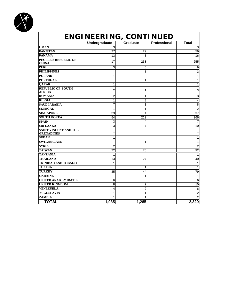

|                                                   | ENGINEERING, CONTINUED  |                |                     |                 |
|---------------------------------------------------|-------------------------|----------------|---------------------|-----------------|
|                                                   | <b>Undergraduate</b>    | Graduate       | <b>Professional</b> | <b>Total</b>    |
| <b>OMAN</b>                                       | 3                       |                |                     | 3               |
| <b>PAKISTAN</b>                                   | 27                      | 29             |                     | 56              |
| <b>PANAMA</b>                                     | 13                      | 3              |                     | 16              |
| PEOPLE'S REPUBLIC OF<br><b>CHINA</b>              | 17                      | 238            |                     | 255             |
| <b>PERU</b>                                       | 3                       | 6              |                     | 9               |
| <b>PHILIPPINES</b>                                |                         | 3              |                     | $\overline{3}$  |
| <b>POLAND</b>                                     | 1                       |                |                     | 1               |
| <b>PORTUGAL</b>                                   |                         | 1              |                     | 1               |
| <b>OATAR</b>                                      | 1                       |                |                     | 1               |
| <b>REPUBLIC OF SOUTH</b><br><b>AFRICA</b>         | $\overline{2}$          | 1              |                     | 3               |
| <b>ROMANIA</b>                                    | $\overline{\mathbf{c}}$ | 1              |                     | 3               |
| <b>RUSSIA</b>                                     | 1                       | 3              |                     | 4               |
| <b>SAUDI ARABIA</b>                               | 7                       | $\mathbf{1}$   |                     | 8               |
| <b>SENEGAL</b>                                    | 1                       | 1              |                     | $\overline{2}$  |
| <b>SINGAPORE</b>                                  | 33                      | 4              |                     | 37              |
| <b>SOUTH KOREA</b>                                | 54                      | 212            |                     | 266             |
| <b>SPAIN</b>                                      | 3                       | 4              |                     | $\overline{7}$  |
| <b>SRI LANKA</b>                                  | 3                       | 7              |                     | 10              |
| <b>SAINT VINCENT AND THE</b><br><b>GRENADINES</b> | 1                       |                |                     | 1               |
| <b>SUDAN</b>                                      | 1                       |                |                     | 1               |
| <b>SWITZERLAND</b>                                |                         | 1              |                     | $\mathbf{1}$    |
| <b>SYRIA</b>                                      | 2                       |                |                     | $\overline{2}$  |
| <b>TAIWAN</b>                                     | 22                      | 70             |                     | $\overline{92}$ |
| <b>TANZANIA</b>                                   | $\mathbf{1}$            |                |                     | $\mathbf{1}$    |
| <b>THAILAND</b>                                   | 13                      | 27             |                     | 40              |
| <b>TRINIDAD AND TOBAGO</b>                        | 1                       |                |                     | $\mathbf{1}$    |
| <b>TUNISIA</b>                                    |                         | 1              |                     | $\mathbf{1}$    |
| <b>TURKEY</b>                                     | 35                      | 44             |                     | 79              |
| <b>UKRAINE</b>                                    |                         | 1              |                     | 1               |
| <b>UNITED ARAB EMIRATES</b>                       | 6                       |                |                     | 6               |
| <b>UNITED KINGDOM</b>                             | 8                       | $\overline{2}$ |                     | 10              |
| <b>VENEZUELA</b>                                  | 4                       | $\overline{2}$ |                     | $\,6$           |
| <b>YUGOSLAVIA</b>                                 | 1                       | 1              |                     | $\overline{2}$  |
| <b>ZAMBIA</b>                                     | 1                       | 1              |                     | $\overline{2}$  |
| <b>TOTAL</b>                                      | 1,035                   | 1,285          |                     | 2,320           |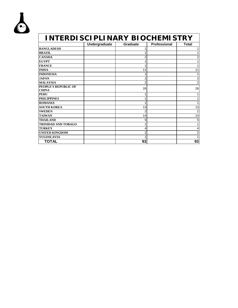

| <b>INTERDISCIPLINARY BIOCHEMISTRY</b>       |               |                 |                     |                         |
|---------------------------------------------|---------------|-----------------|---------------------|-------------------------|
|                                             | Undergraduate | <b>Graduate</b> | <b>Professional</b> | Total                   |
| <b>BANGLADESH</b>                           |               |                 |                     | 1                       |
| <b>BRAZIL</b>                               |               |                 |                     | 1                       |
| <b>CANADA</b>                               |               | 2               |                     | $\overline{\mathbf{c}}$ |
| <b>EGYPT</b>                                |               |                 |                     | 1                       |
| <b>FRANCE</b>                               |               |                 |                     | 1                       |
| <b>INDIA</b>                                |               | 11              |                     | 11                      |
| <b>INDONESIA</b>                            |               |                 |                     | 1                       |
| <b>JAPAN</b>                                |               | 2               |                     | 2                       |
| <b>MALAYSIA</b>                             |               |                 |                     | 2                       |
| <b>PEOPLE'S REPUBLIC OF</b><br><b>CHINA</b> |               | 26              |                     | 26                      |
| <b>PERU</b>                                 |               |                 |                     | 1                       |
| <b>PHILIPPINES</b>                          |               |                 |                     | 1                       |
| <b>ROMANIA</b>                              |               |                 |                     | 1                       |
| <b>SOUTH KOREA</b>                          |               | 13              |                     | 13                      |
| <b>SWEDEN</b>                               |               | 2               |                     | 2                       |
| <b>TAIWAN</b>                               |               | 14              |                     | 14                      |
| <b>THAILAND</b>                             |               | 5               |                     | 5                       |
| <b>TRINIDAD AND TOBAGO</b>                  |               |                 |                     | 1                       |
| <b>TURKEY</b>                               |               | 4               |                     | 4                       |
| UNITED KINGDOM                              |               |                 |                     | 2                       |
| <b>YUGOSLAVIA</b>                           |               |                 |                     | 1                       |
| <b>TOTAL</b>                                |               | 93              |                     | 93                      |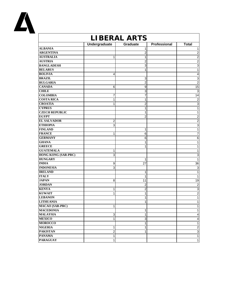

| LIBERAL ARTS   |                |              |                         |  |
|----------------|----------------|--------------|-------------------------|--|
|                | Graduate       | Professional | <b>Total</b>            |  |
|                | 1              |              | 1                       |  |
|                | 2              |              | 2                       |  |
| 1              | 1              |              | $\overline{2}$          |  |
|                | 2              |              | $\overline{2}$          |  |
|                | 3              |              | 3                       |  |
|                | 1              |              | 1                       |  |
| 4              |                |              | 4                       |  |
|                | 3              |              | $\overline{3}$          |  |
|                | $\overline{2}$ |              | $\overline{2}$          |  |
| 6              | 9              |              | 15                      |  |
|                | 3              |              | $\mathbf{3}$            |  |
| 7              | 7              |              | 14                      |  |
| 1              | 1              |              | $\overline{c}$          |  |
| 1              | $\overline{2}$ |              | $\overline{3}$          |  |
|                | 1              |              | 1                       |  |
|                | 1              |              | 1                       |  |
|                | 2              |              | $\overline{2}$          |  |
| 2              |                |              | $\overline{c}$          |  |
| 3              |                |              | $\mathsf 3$             |  |
|                | 1              |              | 1                       |  |
| 1              | 6              |              | 7                       |  |
|                | 6              |              | 6                       |  |
|                | 1              |              | 1                       |  |
|                | 1              |              | 1                       |  |
| 1              |                |              | 1                       |  |
| 3              |                |              | 3                       |  |
|                | 1              |              | $\mathbf{1}$            |  |
| 9              | 27             |              | 36                      |  |
| $\overline{3}$ |                |              | $\overline{3}$          |  |
|                | 1              |              | $\mathbf{1}$            |  |
|                | 1              |              | $\mathbf{1}$            |  |
| 8              | 11             |              | 19                      |  |
|                | 2              |              | $\overline{2}$          |  |
| 1              | 2              |              | 3                       |  |
| 1              | 1              |              | $\overline{2}$          |  |
|                | 1              |              | 1                       |  |
|                | 1              |              | 1                       |  |
| 1              |                |              | 1                       |  |
|                | 1              |              | 1                       |  |
| 3              | 1              |              | $\overline{\mathbf{4}}$ |  |
| $\mathbf{1}$   | 3              |              | 4                       |  |
|                | 1              |              | 1                       |  |
| 1              | 1              |              | $\overline{2}$          |  |
| $\overline{a}$ | 1              |              | $\mathsf 3$             |  |
| 1              |                |              | $\mathbf{1}$            |  |
| 1              |                |              | $\mathbf{1}$            |  |
|                | Undergraduate  |              |                         |  |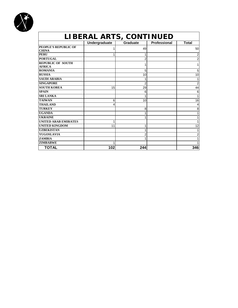

| LIBERAL ARTS, CONTINUED                     |                      |                 |                     |              |
|---------------------------------------------|----------------------|-----------------|---------------------|--------------|
|                                             | <b>Undergraduate</b> | <b>Graduate</b> | <b>Professional</b> | <b>Total</b> |
| <b>PEOPLE'S REPUBLIC OF</b><br><b>CHINA</b> |                      | 49              |                     | 50           |
| <b>PERU</b>                                 |                      |                 |                     | 2            |
| <b>PORTUGAL</b>                             |                      | 2               |                     | 2            |
| <b>REPUBLIC OF SOUTH</b><br><b>AFRICA</b>   |                      |                 |                     |              |
| <b>ROMANIA</b>                              |                      | 5               |                     | 5            |
| <b>RUSSIA</b>                               |                      | 10              |                     | 10           |
| <b>SAUDI ARABIA</b>                         |                      |                 |                     |              |
| <b>SINGAPORE</b>                            |                      | 2               |                     | 2            |
| <b>SOUTH KOREA</b>                          | 15                   | 29              |                     | 44           |
| <b>SPAIN</b>                                |                      | 6               |                     | 6            |
| <b>SRI LANKA</b>                            |                      | 1               |                     |              |
| <b>TAIWAN</b>                               | 6                    | 10              |                     | 16           |
| <b>THAILAND</b>                             | 4                    |                 |                     |              |
| <b>TURKEY</b>                               |                      | 8               |                     | 8            |
| <b>UGANDA</b>                               |                      |                 |                     |              |
| <b>UKRAINE</b>                              |                      |                 |                     |              |
| UNITED ARAB EMIRATES                        |                      |                 |                     |              |
| <b>UNITED KINGDOM</b>                       | 11                   | 1               |                     | 12           |
| <b>UZBEKISTAN</b>                           |                      |                 |                     |              |
| <b>YUGOSLAVIA</b>                           |                      | 2               |                     | 2            |
| <b>ZAMBIA</b>                               |                      |                 |                     |              |
| <b>ZIMBABWE</b>                             |                      |                 |                     |              |
| <b>TOTAL</b>                                | 102                  | 244             |                     | 346          |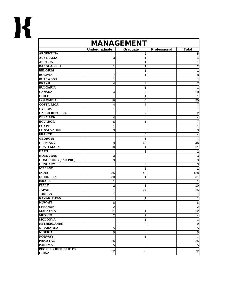

| <b>MANAGEMENT</b>                    |                |                |              |                           |
|--------------------------------------|----------------|----------------|--------------|---------------------------|
|                                      | Undergraduate  | Graduate       | Professional | <b>Total</b>              |
| <b>ARGENTINA</b>                     |                | 5              |              | 5                         |
| <b>AUSTRALIA</b>                     | 3              | 1              |              | $\overline{\mathbf{4}}$   |
| <b>AUSTRIA</b>                       |                | 1              |              | $\mathbf{1}$              |
| <b>BANGLADESH</b>                    | 1              | 1              |              | $\boldsymbol{2}$          |
| <b>BELGIUM</b>                       |                | 1              |              | 1                         |
| <b>BOLIVIA</b>                       | 7              | 1              |              | 8                         |
| <b>BOTSWANA</b>                      | 1              |                |              | $\mathbf{1}$              |
| <b>BRAZIL</b>                        | 4              | 3              |              | 7                         |
| <b>BULGARIA</b>                      |                | 1              |              | $\mathbf{1}$              |
| <b>CANADA</b>                        | 4              | 6              |              | 10                        |
| <b>CHILE</b>                         |                | 1              |              | 1                         |
| <b>COLOMBIA</b>                      | 16             | 4              |              | 20                        |
| <b>COSTA RICA</b>                    | 4              | 3              |              | 7                         |
| <b>CYPRUS</b>                        | 1              |                |              | $\mathbf{1}$              |
| <b>CZECH REPUBLIC</b>                |                | $\overline{2}$ |              | $\mathbf 2$               |
| <b>DENMARK</b>                       | 4              |                |              | 4                         |
| <b>ECUADOR</b>                       | 6              | 1              |              | 7                         |
| <b>EGYPT</b>                         | 1              |                |              | $\mathbf{1}$              |
| <b>EL SALVADOR</b>                   | 3              |                |              | 3                         |
| <b>FRANCE</b>                        |                | 4              |              | 4                         |
| <b>GEORGIA</b>                       |                | 1              |              | $\mathbf{1}$              |
| <b>GERMANY</b>                       | 3              | 43             |              | 46                        |
| <b>GUATEMALA</b>                     | 10             | 1              |              | 11                        |
| <b>HAITI</b>                         |                | 1              |              | 1                         |
| <b>HONDURAS</b>                      | 3              |                |              | $\ensuremath{\mathsf{3}}$ |
| <b>HONG KONG (SAR-PRC)</b>           | 3              |                |              | $\overline{3}$            |
| <b>HUNGARY</b>                       |                | 3              |              | $\overline{3}$            |
| <b>ICELAND</b>                       |                | 1              |              | 1                         |
| <b>INDIA</b>                         | 85             | 43             |              | 128                       |
| <b>INDONESIA</b>                     | 30             | 1              |              | 31                        |
| <b>ISRAEL</b>                        | 1              |                |              | 1                         |
| <b>ITALY</b>                         | 2              | 8              |              | 10                        |
| <b>JAPAN</b>                         | 1              | 24             |              | 25                        |
| <b>JORDAN</b>                        | 1              |                |              | 1                         |
| <b>KAZAKHSTAN</b>                    |                | 1              |              | $\mathbf{1}$              |
| <b>KUWAIT</b>                        | 8              |                |              | 8                         |
| <b>LEBANON</b>                       | $\overline{2}$ |                |              | $\boldsymbol{2}$          |
| <b>MALAYSIA</b>                      | 11             | 1              |              | 12                        |
| <b>MEXICO</b>                        | $\overline{a}$ | $\overline{c}$ |              | $\overline{\mathbf{4}}$   |
| <b>MOLDOVA</b><br><b>NETHERLANDS</b> |                | $\mathbf{1}$   |              | $\mathbf{1}$              |
|                                      |                | 9              |              | $\boldsymbol{9}$          |
| <b>NICARAGUA</b><br><b>NIGERIA</b>   | $\sqrt{5}$     |                |              | 5                         |
|                                      | 5              |                |              | $\mathbf 5$               |
| <b>NORWAY</b>                        |                | 1              |              | $\mathbf{1}$              |
| <b>PAKISTAN</b>                      | 25             |                |              | 25                        |
| <b>PANAMA</b>                        | 5              |                |              | $\overline{5}$            |
| PEOPLE'S REPUBLIC OF<br><b>CHINA</b> | 22             | 50             |              | $72\,$                    |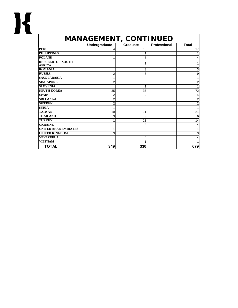| <b>MANAGEMENT, CONTINUED</b>              |                |                 |              |              |
|-------------------------------------------|----------------|-----------------|--------------|--------------|
|                                           | Undergraduate  | <b>Graduate</b> | Professional | <b>Total</b> |
| <b>PERU</b>                               | 4              | 13              |              | 17           |
| <b>PHILIPPINES</b>                        |                |                 |              |              |
| <b>POLAND</b>                             |                | 3               |              |              |
| <b>REPUBLIC OF SOUTH</b><br><b>AFRICA</b> |                |                 |              |              |
| <b>ROMANIA</b>                            |                | 3               |              | 3            |
| <b>RUSSIA</b>                             | 2              |                 |              | 9            |
| <b>SAUDI ARABIA</b>                       |                |                 |              |              |
| <b>SINGAPORE</b>                          | $\overline{2}$ |                 |              |              |
| <b>SLOVENIA</b>                           |                | 1               |              |              |
| <b>SOUTH KOREA</b>                        | 35             | 37              |              | 72           |
| <b>SPAIN</b>                              | 2              | 2               |              |              |
| <b>SRI LANKA</b>                          | $\overline{2}$ |                 |              | 2            |
| <b>SWEDEN</b>                             | 2              |                 |              | 2            |
| <b>SYRIA</b>                              |                |                 |              |              |
| <b>TAIWAN</b>                             | 10             | 11              |              | 21           |
| <b>THAILAND</b>                           | 3              | 3               |              | 6            |
| <b>TURKEY</b>                             |                | 13              |              | 14           |
| <b>UKRAINE</b>                            |                | 4               |              |              |
| <b>UNITED ARAB EMIRATES</b>               | 1              |                 |              |              |
| <b>UNITED KINGDOM</b>                     | 3              |                 |              | 3            |
| <b>VENEZUELA</b>                          |                | 4               |              |              |
| <b>VIETNAM</b>                            |                |                 |              |              |
| <b>TOTAL</b>                              | 349            | 330             |              | 679          |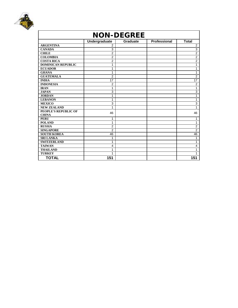

| <b>NON-DEGREE</b>         |                |                 |              |                 |
|---------------------------|----------------|-----------------|--------------|-----------------|
|                           | Undergraduate  | <b>Graduate</b> | Professional | <b>Total</b>    |
| <b>ARGENTINA</b>          | $\overline{2}$ |                 |              | $\overline{2}$  |
| <b>CANADA</b>             | 3              |                 |              | $\overline{3}$  |
| <b>CHILE</b>              | $\overline{2}$ |                 |              | $\overline{2}$  |
| <b>COLOMBIA</b>           | $\overline{2}$ |                 |              | $\overline{c}$  |
| <b>COSTA RICA</b>         | $\overline{2}$ |                 |              | $\overline{2}$  |
| <b>DOMINICAN REPUBLIC</b> | 1              |                 |              | 1               |
| <b>ECUADOR</b>            | 1              |                 |              | 1               |
| <b>GHANA</b>              | 1              |                 |              | 1               |
| <b>GUATEMALA</b>          | $\overline{2}$ |                 |              | $\overline{2}$  |
| <b>INDIA</b>              | 17             |                 |              | $\overline{17}$ |
| <b>INDONESIA</b>          | $\overline{2}$ |                 |              | $\overline{2}$  |
| <b>IRAN</b>               | 1              |                 |              | 1               |
| <b>JAPAN</b>              | 3              |                 |              | 3               |
| <b>JORDAN</b>             | 1              |                 |              | 1               |
| <b>LEBANON</b>            | 1              |                 |              | 1               |
| <b>MEXICO</b>             | 3              |                 |              | 3               |
| <b>NEW ZEALAND</b>        | 1              |                 |              | 1               |
| PEOPLE'S REPUBLIC OF      | 46             |                 |              | 46              |
| <b>CHINA</b>              |                |                 |              |                 |
| <b>PERU</b>               | 1              |                 |              | $\mathbf{1}$    |
| <b>POLAND</b>             | 1              |                 |              | 1               |
| <b>RUSSIA</b>             | $\overline{2}$ |                 |              | $\overline{2}$  |
| <b>SINGAPORE</b>          | $\overline{2}$ |                 |              | $\overline{2}$  |
| <b>SOUTH KOREA</b>        | 46             |                 |              | 46              |
| <b>SRI LANKA</b>          | 1              |                 |              | 1               |
| <b>SWITZERLAND</b>        | 1              |                 |              | 1               |
| <b>TAIWAN</b>             | $\overline{4}$ |                 |              | $\overline{4}$  |
| <b>THAILAND</b>           | 1              |                 |              | 1               |
| <b>TURKEY</b>             | 1              |                 |              | 1               |
| <b>TOTAL</b>              | 151            |                 |              | 151             |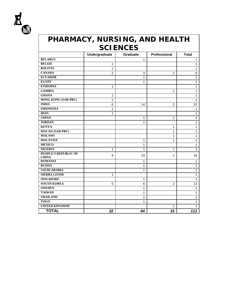

| PHARMACY, NURSING, AND HEALTH<br><b>SCIENCES</b> |               |                 |                |                |
|--------------------------------------------------|---------------|-----------------|----------------|----------------|
|                                                  | Undergraduate | <b>Graduate</b> | Professional   | Total          |
| <b>BELARUS</b>                                   |               | 1               |                | 1              |
| <b>BELIZE</b>                                    | 1             |                 |                | 1              |
| <b>BOLIVIA</b>                                   | 1             |                 |                | 1              |
| <b>CANADA</b>                                    | 2             | 4               | $\overline{2}$ | 8              |
| <b>ECUADOR</b>                                   |               | 1               |                | $\mathbf{1}$   |
| <b>EGYPT</b>                                     |               | 1               |                | 1              |
| <b>ETHIOPIA</b>                                  | 1             |                 |                | 1              |
| <b>GAMBIA</b>                                    |               |                 | 1              | $\mathbf{1}$   |
| <b>GHANA</b>                                     | 1             |                 |                | 1              |
| <b>HONG KONG (SAR-PRC)</b>                       | 2             |                 |                | $\overline{2}$ |
| <b>INDIA</b>                                     | 6             | 14              | $\overline{2}$ | 22             |
| <b>INDONESIA</b>                                 | 1             |                 |                | 1              |
| <b>IRAN</b>                                      | 1             |                 |                | 1              |
| <b>JAPAN</b>                                     |               | 1               | 1              | $\overline{2}$ |
| <b>JORDAN</b>                                    |               | 1               |                | $\mathbf{1}$   |
| <b>KENYA</b>                                     |               |                 | 1              | $\mathbf{1}$   |
| <b>MACAO (SAR-PRC)</b>                           |               |                 | 1              | 1              |
| <b>MALAWI</b>                                    |               |                 | 1              | 1              |
| <b>MALAYSIA</b>                                  |               | 1               | 1              | $\overline{2}$ |
| <b>MEXICO</b>                                    |               | 1               |                | 1              |
| <b>NIGERIA</b>                                   | 1             | 1               | 1              | 3              |
| PEOPLE'S REPUBLIC OF<br><b>CHINA</b>             | 9             | 23              | 1              | 33             |
| <b>ROMANIA</b>                                   |               | 1               |                | 1              |
| <b>RUSSIA</b>                                    |               | 1               |                | 1              |
| <b>SAUDI ARABIA</b>                              |               | 1               |                | 1              |
| <b>SIERRA LEONE</b>                              | 1             |                 |                | $\mathbf{1}$   |
| <b>SINGAPORE</b>                                 |               | 1               |                | 1              |
| <b>SOUTH KOREA</b>                               | 5             | 6               | 2              | 13             |
| <b>SWEDEN</b>                                    |               | 1               |                | 1              |
| <b>TAIWAN</b>                                    |               | 1               |                | 1              |
| <b>THAILAND</b>                                  |               | 2               |                | 2              |
| <b>TOGO</b>                                      |               | $\mathbf{1}$    |                | 1              |
| <b>UNITED KINGDOM</b>                            |               |                 | 1              | 1              |
| <b>TOTAL</b>                                     | 32            | 64              | 15             | 111            |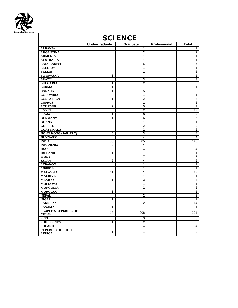

| <b>SCIENCE</b>                            |                |                  |                     |                         |
|-------------------------------------------|----------------|------------------|---------------------|-------------------------|
|                                           | Undergraduate  | <b>Graduate</b>  | <b>Professional</b> | Total                   |
| <b>ALBANIA</b>                            |                | 1                |                     | 1                       |
| <b>ARGENTINA</b>                          |                | $\overline{2}$   |                     | 2                       |
| <b>ARMENIA</b>                            |                | 1                |                     | 1                       |
| <b>AUSTRALIA</b>                          |                | 1                |                     | 1                       |
| <b>BANGLADESH</b>                         |                | 5                |                     | $\overline{5}$          |
| <b>BELGIUM</b>                            |                | $\mathbf{1}$     |                     | $\mathbf{1}$            |
| <b>BELIZE</b>                             |                | $\mathbf{1}$     |                     | $\mathbf{1}$            |
| <b>BOTSWANA</b>                           | 1              |                  |                     | $\overline{1}$          |
| <b>BRAZIL</b>                             |                | 3                |                     | 3                       |
| <b>BULGARIA</b>                           | 1              | $\overline{2}$   |                     | 3                       |
| <b>BURMA</b>                              | 1              |                  |                     | $\mathbf{1}$            |
| <b>CANADA</b>                             | 1              | 5                |                     | 6                       |
| <b>COLOMBIA</b>                           |                | $\mathbf{1}$     |                     | $\mathbf{1}$            |
| <b>COSTA RICA</b>                         | $\mathbf 1$    | $\boldsymbol{2}$ |                     | $\overline{3}$          |
| <b>CYPRUS</b>                             |                | 1                |                     | $\overline{1}$          |
| <b>ECUADOR</b>                            | $\overline{2}$ | $\mathbf 5$      |                     | 7                       |
| <b>EGYPT</b>                              |                | 12               |                     | 12                      |
| <b>FRANCE</b>                             | 1              | 6                |                     | 7                       |
| <b>GERMANY</b>                            | 1              | 6                |                     | 7                       |
| <b>GHANA</b>                              |                | 1                |                     | 1                       |
| <b>GREECE</b>                             |                | $\overline{2}$   |                     | $\overline{\mathbf{c}}$ |
| <b>GUATEMALA</b>                          |                | 2                |                     | $\overline{2}$          |
| <b>HONG KONG (SAR-PRC)</b>                | 5              | 3                |                     | 8                       |
| <b>HUNGARY</b>                            |                | $\overline{4}$   |                     | 4                       |
| <b>INDIA</b>                              | 58             | 85               |                     | 143                     |
| <b>INDONESIA</b>                          | 32             | 1                |                     | 33                      |
| <b>IRAN</b>                               |                | $\overline{4}$   |                     | 4                       |
| <b>IRELAND</b>                            | 1              |                  |                     | $\mathbf{1}$            |
| <b>ITALY</b>                              |                | $\overline{7}$   |                     | $\overline{7}$          |
| <b>JAPAN</b>                              | $\overline{2}$ | 4                |                     | 6                       |
| <b>LEBANON</b>                            |                | 1                |                     | $\mathbf{1}$            |
| <b>LIBERIA</b>                            |                | 1                |                     | $\mathbf{1}$            |
| <b>MALAYSIA</b>                           | 11             | 1                |                     | 12                      |
| <b>MALDIVES</b>                           |                | 1                |                     | 1                       |
| <b>MEXICO</b>                             | 1              | $\overline{3}$   |                     | 4                       |
| <b>MOLDOVA</b>                            |                | 1                |                     | $\mathbf{1}$            |
| <b>MONGOLIA</b>                           |                | $\overline{2}$   |                     | $\overline{2}$          |
| <b>MOROCCO</b>                            | 1              |                  |                     | 1                       |
| <b>NEPAL</b>                              |                | $\overline{2}$   |                     | $\overline{c}$          |
| <b>NIGER</b>                              | 1              |                  |                     | $\mathbf{1}$            |
| <b>PAKISTAN</b>                           | 12             | $\overline{2}$   |                     | 14                      |
| <b>PANAMA</b>                             | 1              |                  |                     | $\mathbf{1}$            |
| PEOPLE'S REPUBLIC OF                      | 13             | 208              |                     | 221                     |
| <b>CHINA</b>                              |                |                  |                     |                         |
| <b>PERU</b>                               |                | 3                |                     | 3                       |
| <b>PHILIPPINES</b>                        | 1              | $\overline{2}$   |                     | 3                       |
| <b>POLAND</b>                             |                | 4                |                     | 4                       |
| <b>REPUBLIC OF SOUTH</b><br><b>AFRICA</b> | 1              | $\mathbf{1}$     |                     | $\overline{2}$          |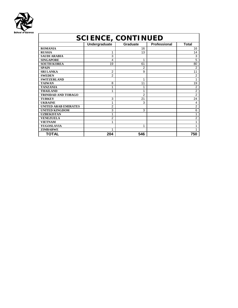

| <b>SCIENCE, CONTINUED</b>   |                |                 |              |                |
|-----------------------------|----------------|-----------------|--------------|----------------|
|                             | Undergraduate  | <b>Graduate</b> | Professional | <b>Total</b>   |
| <b>ROMANIA</b>              |                | 16              |              | 16             |
| <b>RUSSIA</b>               | 1              | 13              |              | 14             |
| <b>SAUDI ARABIA</b>         | 3              |                 |              | 3              |
| <b>SINGAPORE</b>            | 4              | 1               |              | 5              |
| <b>SOUTH KOREA</b>          | 19             | 61              |              | 80             |
| <b>SPAIN</b>                |                | 2               |              | 2              |
| <b>SRI LANKA</b>            | 2              | 9               |              | 11             |
| <b>SWEDEN</b>               | $\overline{2}$ |                 |              | $\overline{2}$ |
| <b>SWITZERLAND</b>          |                | 1               |              | 1              |
| <b>TAIWAN</b>               | 8              | 11              |              | 19             |
| <b>TANZANIA</b>             | 1              | 1               |              | $\overline{2}$ |
| <b>THAILAND</b>             | 1              | 1               |              | $\overline{2}$ |
| <b>TRINIDAD AND TOBAGO</b>  |                | $\overline{2}$  |              | $\overline{2}$ |
| <b>TURKEY</b>               | 3              | 21              |              | 24             |
| <b>UKRAINE</b>              | 1              | 3               |              | 4              |
| <b>UNITED ARAB EMIRATES</b> | $\overline{2}$ |                 |              | 2              |
| <b>UNITED KINGDOM</b>       | 3              | 3               |              | 6              |
| <b>UZBEKISTAN</b>           | 1              |                 |              |                |
| <b>VENEZUELA</b>            | 2              |                 |              | $\bar{2}$      |
| <b>VIETNAM</b>              | 1              |                 |              |                |
| <b>YUGOSLAVIA</b>           |                | 1               |              |                |
| <b>ZIMBABWE</b>             | 1              |                 |              |                |
| TOTAL                       | 204            | 546             |              | 750            |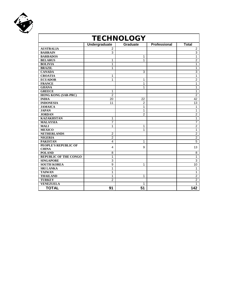

| <b>TECHNOLOGY</b>                    |                |                 |              |                  |
|--------------------------------------|----------------|-----------------|--------------|------------------|
|                                      | Undergraduate  | <b>Graduate</b> | Professional | <b>Total</b>     |
| <b>AUSTRALIA</b>                     | 2              |                 |              | 2                |
| <b>BAHRAIN</b>                       | 3              |                 |              | 3                |
| <b>BARBADOS</b>                      |                | 1               |              | 1                |
| <b>BELARUS</b>                       | 1              | 1               |              | $\overline{2}$   |
| <b>BOLIVIA</b>                       | 1              |                 |              | 1                |
| <b>BRAZIL</b>                        | 1              |                 |              | 1                |
| <b>CANADA</b>                        |                | 3               |              | 3                |
| <b>CROATIA</b>                       | 1              |                 |              | $\mathbf{1}$     |
| <b>ECUADOR</b>                       | 1              | 1               |              | $\overline{2}$   |
| <b>FRANCE</b>                        |                | 1               |              | 1                |
| <b>GHANA</b>                         |                | 1               |              | 1                |
| <b>GREECE</b>                        | 1              |                 |              | 1                |
| HONG KONG (SAR-PRC)                  | $\overline{2}$ |                 |              | $\boldsymbol{2}$ |
| <b>INDIA</b>                         | 20             | 22              |              | 42               |
| <b>INDONESIA</b>                     | 11             | $\overline{2}$  |              | 13               |
| <b>JAMAICA</b>                       |                | 1               |              | 1                |
| <b>JAPAN</b>                         |                | 1               |              | 1                |
| <b>JORDAN</b>                        |                | $\overline{2}$  |              | $\overline{2}$   |
| <b>KAZAKHSTAN</b>                    | 1              |                 |              | 1                |
| <b>MALAYSIA</b>                      | 7              |                 |              | 7                |
| <b>MALI</b>                          | 1              | 1               |              | $\overline{2}$   |
| <b>MEXICO</b>                        |                | 1               |              | $\mathbf{1}$     |
| <b>NETHERLANDS</b>                   | $\overline{2}$ |                 |              | $\overline{c}$   |
| <b>NIGERIA</b>                       | $\overline{2}$ |                 |              | $\overline{2}$   |
| <b>PAKISTAN</b>                      | 4              | 1               |              | 5                |
| PEOPLE'S REPUBLIC OF<br><b>CHINA</b> | 4              | 9               |              | 13               |
| <b>POLAND</b>                        | 8              |                 |              | 8                |
| <b>REPUBLIC OF THE CONGO</b>         | 1              |                 |              | 1                |
| <b>SINGAPORE</b>                     | 3              |                 |              | 3                |
| <b>SOUTH KOREA</b>                   | 9              | 1               |              | 10               |
| <b>SRI LANKA</b>                     | 1              |                 |              | 1                |
| <b>TAIWAN</b>                        | 1              |                 |              | 1                |
| <b>THAILAND</b>                      | 1              | 1               |              | $\overline{2}$   |
| <b>TURKEY</b>                        | $\overline{2}$ |                 |              | 2                |
| <b>VENEZUELA</b>                     |                | 1               |              | 1                |
| <b>TOTAL</b>                         | 91             | 51              |              | 142              |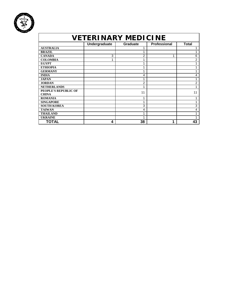

| <i><b>VETERINARY MEDICINE</b></i> |               |                 |              |       |  |
|-----------------------------------|---------------|-----------------|--------------|-------|--|
|                                   | Undergraduate | <b>Graduate</b> | Professional | Total |  |
| <b>AUSTRALIA</b>                  |               |                 |              |       |  |
| <b>BRAZIL</b>                     |               |                 |              |       |  |
| <b>CANADA</b>                     | 3             | 2               |              | 6     |  |
| <b>COLOMBIA</b>                   | 1             | 1               |              | 2     |  |
| <b>EGYPT</b>                      |               | 1               |              | 1     |  |
| <b>ETHIOPIA</b>                   |               |                 |              |       |  |
| <b>GERMANY</b>                    |               | 1               |              |       |  |
| <b>INDIA</b>                      |               | 4               |              | 4     |  |
| <b>JAPAN</b>                      |               |                 |              |       |  |
| <b>JORDAN</b>                     |               | 2               |              | 2     |  |
| <b>NETHERLANDS</b>                |               | 1               |              | 1     |  |
| PEOPLE'S REPUBLIC OF              |               | 11              |              | 11    |  |
| <b>CHINA</b>                      |               |                 |              |       |  |
| <b>ROMANIA</b>                    |               | 1               |              |       |  |
| <b>SINGAPORE</b>                  |               | 1               |              |       |  |
| <b>SOUTH KOREA</b>                |               | 3               |              | 3     |  |
| <b>TAIWAN</b>                     |               | 4               |              | 4     |  |
| <b>THAILAND</b>                   |               | 4               |              |       |  |
| <b>UKRAINE</b>                    |               |                 |              |       |  |
| TOTAL                             | 4             | 38              | 1            | 43    |  |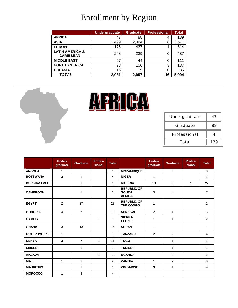## Enrollment by Region

|                                                | <b>Undergraduate</b> | <b>Graduate</b> | <b>Professional</b> | <b>Total</b> |
|------------------------------------------------|----------------------|-----------------|---------------------|--------------|
| <b>AFRICA</b>                                  | 47                   | 88              | 4                   | 139          |
| <b>ASIA</b>                                    | 1,499                | 2,064           | 8                   | 3,571        |
| <b>EUROPE</b>                                  | 176                  | 437             |                     | 614          |
| <b>LATIN AMERICA &amp;</b><br><b>CARIBBEAN</b> | 248                  | 239             | 0                   | 487          |
| <b>MIDDLE EAST</b>                             | 67                   | 44              | 0                   | 111          |
| <b>NORTH AMERICA</b>                           | 28                   | 106             | 3                   | 137          |
| <b>OCEANIA</b>                                 | 16                   | 19              | 0                   | 35           |
| <b>TOTAL</b>                                   | 2,081                | 2,997           | 16                  | 5,094        |





| Undergraduate | 47  |
|---------------|-----|
| Graduate      | 88  |
| Professional  |     |
| Total         | 139 |

|                      | <b>Under-</b><br>graduate | <b>Graduate</b> | Profes-<br>sional | <b>Total</b>   |                                                     | <b>Under-</b><br>graduate | <b>Graduate</b> | Profes-<br>sional | <b>Total</b>   |
|----------------------|---------------------------|-----------------|-------------------|----------------|-----------------------------------------------------|---------------------------|-----------------|-------------------|----------------|
| <b>ANGOLA</b>        | $\mathbf{1}$              |                 |                   | $\mathbf{1}$   | <b>MOZAMBIQUE</b>                                   |                           | 3               |                   | 3              |
| <b>BOTSWANA</b>      | 3                         | 1               |                   | 4              | <b>NIGER</b>                                        | $\mathbf{1}$              |                 |                   | 1              |
| <b>BURKINA FASO</b>  |                           | 1               |                   | 1              | <b>NIGERIA</b>                                      | 13                        | 8               | $\mathbf{1}$      | 22             |
| <b>CAMEROON</b>      |                           | 1               |                   | 1              | <b>REPUBLIC OF</b><br><b>SOUTH</b><br><b>AFRICA</b> | 3                         | 4               |                   | $\overline{7}$ |
| <b>EGYPT</b>         | 2                         | 27              |                   | 29             | <b>REPUBLIC OF</b><br>THE CONGO                     | 1                         |                 |                   | $\mathbf{1}$   |
| <b>ETHIOPIA</b>      | $\overline{4}$            | 6               |                   | 10             | <b>SENEGAL</b>                                      | $\overline{2}$            | $\mathbf{1}$    |                   | 3              |
| <b>GAMBIA</b>        |                           |                 | $\mathbf{1}$      | 1              | <b>SIERRA</b><br><b>LEONE</b>                       | $\mathbf{1}$              | $\mathbf{1}$    |                   | 2              |
| <b>GHANA</b>         | 3                         | 13              |                   | 16             | <b>SUDAN</b>                                        | 1                         |                 |                   | $\mathbf{1}$   |
| <b>COTE d'IVOIRE</b> | $\mathbf{1}$              |                 |                   | $\mathbf{1}$   | <b>TANZANIA</b>                                     | $\overline{2}$            | 2               |                   | 4              |
| <b>KENYA</b>         | 3                         | $\overline{7}$  | $\mathbf{1}$      | 11             | <b>TOGO</b>                                         |                           | $\mathbf{1}$    |                   | $\mathbf{1}$   |
| <b>LIBERIA</b>       |                           | 1               |                   | $\mathbf{1}$   | <b>TUNISIA</b>                                      |                           | $\mathbf{1}$    |                   | $\mathbf{1}$   |
| <b>MALAWI</b>        |                           |                 | $\mathbf{1}$      | $\mathbf{1}$   | <b>UGANDA</b>                                       |                           | $\overline{2}$  |                   | 2              |
| <b>MALI</b>          | $\mathbf{1}$              | 1               |                   | 2              | <b>ZAMBIA</b>                                       | $\mathbf{1}$              | $\overline{2}$  |                   | 3              |
| <b>MAURITIUS</b>     |                           | 1               |                   | $\mathbf{1}$   | <b>ZIMBABWE</b>                                     | 3                         | $\mathbf{1}$    |                   | $\overline{4}$ |
| <b>MOROCCO</b>       | $\mathbf{1}$              | 3               |                   | $\overline{4}$ |                                                     |                           |                 |                   |                |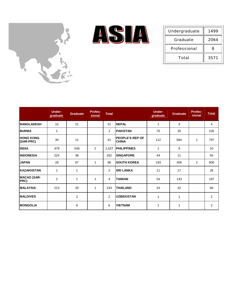



| Undergraduate | 1499 |
|---------------|------|
| Graduate      | 2064 |
| Professional  | 8    |
| Total         | 3571 |

|                               | <b>Under-</b><br>graduate | <b>Graduate</b> | <b>Profes-</b><br>sional | <b>Total</b> |                                        | <b>Under-</b><br>graduate | <b>Graduate</b> | <b>Profes-</b><br>sional | <b>Total</b>   |
|-------------------------------|---------------------------|-----------------|--------------------------|--------------|----------------------------------------|---------------------------|-----------------|--------------------------|----------------|
| <b>BANGLADESH</b>             | 10                        | 21              |                          | 31           | <b>NEPAL</b>                           | 1                         | 3               |                          | 4              |
| <b>BURMA</b>                  | 1                         |                 |                          | 1            | <b>PAKISTAN</b>                        | 70                        | 35              |                          | 105            |
| <b>HONG KONG</b><br>(SAR-PRC) | 30                        | 11              |                          | 41           | <b>PEOPLE'S REP OF</b><br><b>CHINA</b> | 112                       | 684             | 1                        | 797            |
| <b>INDIA</b>                  | 479                       | 546             | 2                        | 1,027        | <b>PHILIPPINES</b>                     | 1                         | 9               |                          | 10             |
| <b>INDONESIA</b>              | 224                       | 38              |                          | 262          | <b>SINGAPORE</b>                       | 44                        | 11              |                          | 55             |
| <b>JAPAN</b>                  | 28                        | 67              | 1                        | 96           | <b>SOUTH KOREA</b>                     | 193                       | 405             | $\overline{2}$           | 600            |
| <b>KAZAKHSTAN</b>             | 1                         | 1               |                          | 2            | <b>SRI LANKA</b>                       | 11                        | 17              |                          | 28             |
| <b>MACAO (SAR-</b><br>PRC)    | $\overline{2}$            | 1               | 1                        | 4            | <b>TAIWAN</b>                          | 54                        | 143             |                          | 197            |
| <b>MALAYSIA</b>               | 213                       | 29              | 1                        | 243          | <b>THAILAND</b>                        | 24                        | 42              |                          | 66             |
| <b>MALDIVES</b>               |                           | $\overline{2}$  |                          | 2            | <b>UZBEKISTAN</b>                      | 1                         | 1               |                          | $\overline{2}$ |
| <b>MONGOLIA</b>               |                           | 6               |                          | 6            | <b>VIETNAM</b>                         | 1                         | 1               |                          | $\overline{2}$ |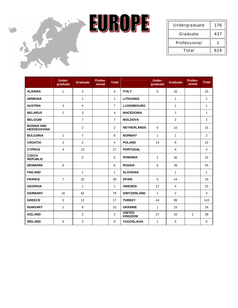



| Undergraduate | 176 |
|---------------|-----|
| Graduate      | 437 |
| Professional  |     |
| Total         | 614 |

|                                         | <b>Under-</b><br>graduate | <b>Graduate</b> | Profes-<br>sional | <b>Total</b>   |                                 | <b>Under-</b><br>graduate | <b>Graduate</b> | Profes-<br>sional | <b>Total</b> |
|-----------------------------------------|---------------------------|-----------------|-------------------|----------------|---------------------------------|---------------------------|-----------------|-------------------|--------------|
| <b>ALBANIA</b>                          | $\mathbf{1}$              | $\mathbf{3}$    |                   | $\overline{4}$ | <b>ITALY</b>                    | 5                         | 20              |                   | 25           |
| <b>ARMENIA</b>                          |                           | $\mathbf{1}$    |                   | $\mathbf{1}$   | <b>LITHUANIA</b>                |                           | $\mathbf{1}$    |                   | $\mathbf{1}$ |
| <b>AUSTRIA</b>                          | 3                         | 4               |                   | $\overline{7}$ | <b>LUXEMBOURG</b>               |                           | $\mathbf{1}$    |                   | $\mathbf{1}$ |
| <b>BELARUS</b>                          | $\mathbf{1}$              | 3               |                   | $\overline{4}$ | <b>MACEDONIA</b>                |                           | $\mathbf{1}$    |                   | 1            |
| <b>BELGIUM</b>                          |                           | $\overline{7}$  |                   | $\overline{7}$ | <b>MOLDOVA</b>                  |                           | 2               |                   | 2            |
| <b>BOSNIA AND</b><br><b>HERZEGOVINA</b> |                           | 2               |                   | 2              | <b>NETHERLANDS</b>              | 5                         | 10              |                   | 15           |
| <b>BULGARIA</b>                         | $\mathbf{1}$              | $\overline{7}$  |                   | 8              | <b>NORWAY</b>                   | $\mathbf{1}$              | $\mathbf{1}$    |                   | 2            |
| <b>CROATIA</b>                          | $\overline{2}$            | $\overline{2}$  |                   | $\overline{4}$ | <b>POLAND</b>                   | 14                        | 8               |                   | 22           |
| <b>CYPRUS</b>                           | $\overline{4}$            | 13              |                   | 17             | <b>PORTUGAL</b>                 |                           | $\overline{4}$  |                   | 4            |
| <b>CZECH</b><br><b>REPUBLIC</b>         |                           | 5               |                   | 5              | <b>ROMANIA</b>                  | 2                         | 30              |                   | 32           |
| <b>DENMARK</b>                          | 6                         |                 |                   | 6              | <b>RUSSIA</b>                   | 6                         | 39              |                   | 45           |
| <b>FINLAND</b>                          |                           | $\mathbf{1}$    |                   | $\mathbf{1}$   | <b>SLOVENIA</b>                 |                           | $\mathbf{1}$    |                   | $\mathbf{1}$ |
| <b>FRANCE</b>                           | $\overline{7}$            | 32              |                   | 39             | <b>SPAIN</b>                    | 5                         | 14              |                   | 19           |
| <b>GEORGIA</b>                          |                           | $\mathbf{1}$    |                   | $\mathbf{1}$   | <b>SWEDEN</b>                   | 11                        | $\overline{4}$  |                   | 15           |
| <b>GERMANY</b>                          | 16                        | 62              |                   | 78             | <b>SWITZERLAND</b>              | $\mathbf{1}$              | $\overline{2}$  |                   | 3            |
| <b>GREECE</b>                           | 5                         | 12              |                   | 17             | <b>TURKEY</b>                   | 44                        | 99              |                   | 143          |
| <b>HUNGARY</b>                          | 1                         | 9               |                   | 10             | <b>UKRAINE</b>                  | $\mathbf{1}$              | 15              |                   | 16           |
| <b>ICELAND</b>                          |                           | 3               |                   | 3              | <b>UNITED</b><br><b>KINGDOM</b> | 27                        | 10              | $\mathbf{1}$      | 38           |
| <b>IRELAND</b>                          | 6                         | 3               |                   | 9              | <b>YUGOSLAVIA</b>               | $\mathbf{1}$              | $\,$ 5 $\,$     |                   | 6            |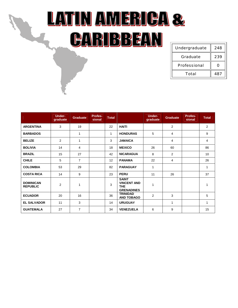## LATIN AWERICA & CARIBBEAN

| Undergraduate | 248 |
|---------------|-----|
| Graduate      | 239 |
| Professional  |     |
| Total         | 487 |

|                                     | <b>Under-</b><br>graduate | <b>Graduate</b> | Profes-<br>sional | <b>Total</b> |                                                                 | <b>Under-</b><br>graduate | <b>Graduate</b> | <b>Profes-</b><br>sional | <b>Total</b> |
|-------------------------------------|---------------------------|-----------------|-------------------|--------------|-----------------------------------------------------------------|---------------------------|-----------------|--------------------------|--------------|
| <b>ARGENTINA</b>                    | 3                         | 19              |                   | 22           | <b>HAITI</b>                                                    |                           | 2               |                          | 2            |
| <b>BARBADOS</b>                     |                           | 1               |                   | 1            | <b>HONDURAS</b>                                                 | 5                         | 4               |                          | 9            |
| <b>BELIZE</b>                       | $\overline{2}$            | 1               |                   | 3            | <b>JAMAICA</b>                                                  |                           | $\overline{4}$  |                          | 4            |
| <b>BOLIVIA</b>                      | 14                        | 4               |                   | 18           | <b>MEXICO</b>                                                   | 26                        | 60              |                          | 86           |
| <b>BRAZIL</b>                       | 15                        | 27              |                   | 42           | <b>NICARAGUA</b>                                                | 8                         | 2               |                          | 10           |
| <b>CHILE</b>                        | 5                         | $\overline{7}$  |                   | 12           | <b>PANAMA</b>                                                   | 22                        | $\overline{4}$  |                          | 26           |
| <b>COLOMBIA</b>                     | 53                        | 29              |                   | 82           | <b>PARAGUAY</b>                                                 | 1                         |                 |                          | 1            |
| <b>COSTA RICA</b>                   | 14                        | 9               |                   | 23           | <b>PERU</b>                                                     | 11                        | 26              |                          | 37           |
| <b>DOMINICAN</b><br><b>REPUBLIC</b> | $\overline{2}$            | 1               |                   | 3            | <b>SAINT</b><br><b>VINCENT AND</b><br>THE.<br><b>GRENADINES</b> | 1                         |                 |                          | 1            |
| <b>ECUADOR</b>                      | 20                        | 16              |                   | 36           | <b>TRINIDAD</b><br><b>AND TOBAGO</b>                            | 2                         | 3               |                          | 5            |
| <b>EL SALVADOR</b>                  | 11                        | 3               |                   | 14           | <b>URUGUAY</b>                                                  |                           | 1               |                          | 1            |
| <b>GUATEMALA</b>                    | 27                        | $\overline{7}$  |                   | 34           | <b>VENEZUELA</b>                                                | 6                         | 9               |                          | 15           |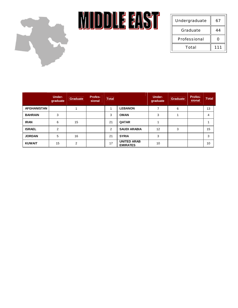

**MIDDLE EAST** 

| Undergraduate | 67  |
|---------------|-----|
| Graduate      | 44  |
| Professional  |     |
| Total         | 111 |

|                    | Under-<br>graduate | <b>Graduate</b> | <b>Profes-</b><br>sional | <b>Total</b> |                                       | Under-<br>graduate | <b>Graduate</b> | <b>Profes-</b><br>sional | <b>Total</b> |
|--------------------|--------------------|-----------------|--------------------------|--------------|---------------------------------------|--------------------|-----------------|--------------------------|--------------|
| <b>AFGHANISTAN</b> |                    |                 |                          |              | <b>LEBANON</b>                        |                    | 6               |                          | 13           |
| <b>BAHRAIN</b>     | 3                  |                 |                          | 3            | <b>OMAN</b>                           | 3                  |                 |                          | 4            |
| <b>IRAN</b>        | 6                  | 15              |                          | 21           | <b>QATAR</b>                          |                    |                 |                          |              |
| <b>ISRAEL</b>      | $\mathfrak{p}$     |                 |                          | 2            | <b>SAUDI ARABIA</b>                   | 12                 | 3               |                          | 15           |
| <b>JORDAN</b>      | 5                  | 16              |                          | 21           | <b>SYRIA</b>                          | 3                  |                 |                          | 3            |
| <b>KUWAIT</b>      | 15                 | 2               |                          | 17           | <b>UNITED ARAB</b><br><b>EMIRATES</b> | 10                 |                 |                          | 10           |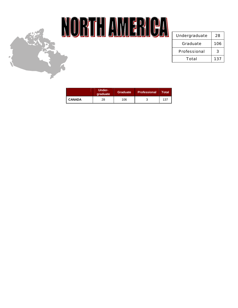

## NORTH AMERICA

| Undergraduate | 28  |
|---------------|-----|
| Graduate      | 106 |
| Professional  | 3   |
| Total         | 137 |

|               | Under-<br>graduate | <b>Graduate</b> | <b>Professional</b> | Total |
|---------------|--------------------|-----------------|---------------------|-------|
| <b>CANADA</b> | 28                 | 106             |                     | 137   |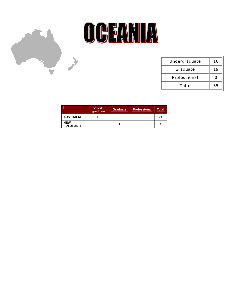



| Undergraduate | 16 |
|---------------|----|
| Graduate      |    |
| Professional  |    |
| Total         | 35 |

|                              | Under-<br>graduate | Graduate | <b>Professional</b> | Total |
|------------------------------|--------------------|----------|---------------------|-------|
| <b>AUSTRALIA</b>             | 12                 |          |                     | 21    |
| <b>NEW</b><br><b>ZEALAND</b> | 3                  |          |                     |       |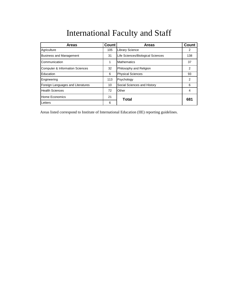| <b>Areas</b>                      | <b>Count</b> | <b>Areas</b>                      | Count |
|-----------------------------------|--------------|-----------------------------------|-------|
| Agriculture                       | 105          | <b>Library Science</b>            | 2     |
| <b>Business and Management</b>    | 31           | Life Sciences/Biological Sciences | 138   |
| Communication                     | 1            | <b>Mathematics</b>                | 37    |
| Computer & Information Sciences   | 32           | Philosophy and Religion           | 2     |
| Education                         | 6            | <b>Physical Sciences</b>          | 93    |
| Engineering                       | 113          | Psychology                        | 2     |
| Foreign Languages and Literatures | 10           | Social Sciences and History       | 6     |
| <b>Health Sciences</b>            | 72           | Other                             | 4     |
| Home Economics                    | 21           | Total                             | 681   |
| Letters                           | 6            |                                   |       |

Areas listed correspond to Institute of International Education (IIE) reporting guidelines.